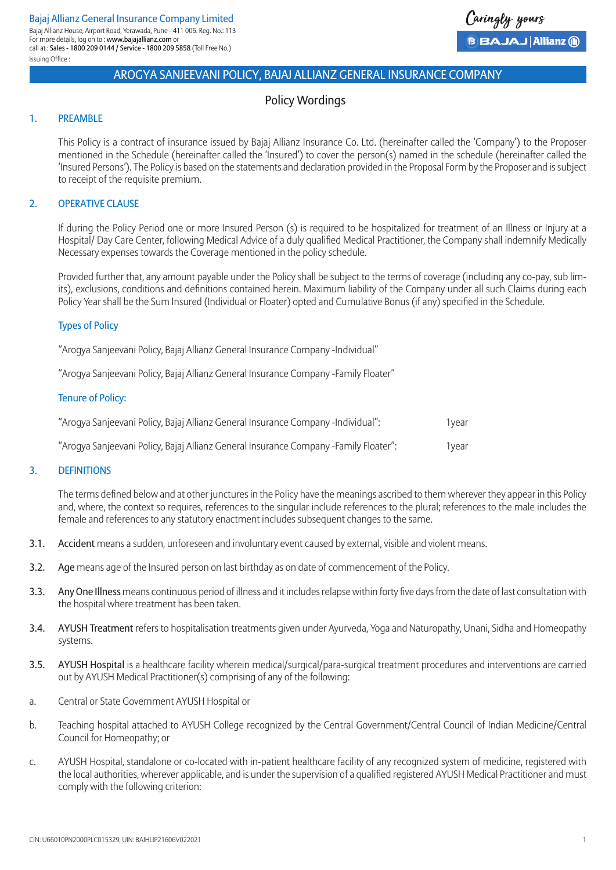

# Policy Wordings

## 1. PREAMBLE

This Policy is a contract of insurance issued by Bajaj Allianz Insurance Co. Ltd. (hereinafter called the 'Company') to the Proposer mentioned in the Schedule (hereinafter called the 'Insured') to cover the person(s) named in the schedule (hereinafter called the 'Insured Persons'). The Policy is based on the statements and declaration provided in the Proposal Form by the Proposer and is subject to receipt of the requisite premium.

## 2. OPERATIVE CLAUSE

If during the Policy Period one or more Insured Person (s) is required to be hospitalized for treatment of an Illness or Injury at a Hospital/ Day Care Center, following Medical Advice of a duly qualified Medical Practitioner, the Company shall indemnify Medically Necessary expenses towards the Coverage mentioned in the policy schedule.

Provided further that, any amount payable under the Policy shall be subject to the terms of coverage (including any co-pay, sub limits), exclusions, conditions and definitions contained herein. Maximum liability of the Company under all such Claims during each Policy Year shall be the Sum Insured (Individual or Floater) opted and Cumulative Bonus (if any) specified in the Schedule.

## Types of Policy

"Arogya Sanjeevani Policy, Bajaj Allianz General Insurance Company -Individual"

"Arogya Sanjeevani Policy, Bajaj Allianz General Insurance Company -Family Floater"

#### Tenure of Policy:

| "Aroqya Sanjeevani Policy, Bajaj Allianz General Insurance Company -Individual":     | 1vear |
|--------------------------------------------------------------------------------------|-------|
| "Arogya Sanjeevani Policy, Bajaj Allianz General Insurance Company -Family Floater": | 1vear |

## 3. DEFINITIONS

The terms defined below and at other junctures in the Policy have the meanings ascribed to them wherever they appear in this Policy and, where, the context so requires, references to the singular include references to the plural; references to the male includes the female and references to any statutory enactment includes subsequent changes to the same.

- 3.1. Accident means a sudden, unforeseen and involuntary event caused by external, visible and violent means.
- 3.2. Age means age of the Insured person on last birthday as on date of commencement of the Policy.
- 3.3. Any One Illness means continuous period of illness and it includes relapse within forty five days from the date of last consultation with the hospital where treatment has been taken.
- 3.4. AYUSH Treatment refers to hospitalisation treatments given under Ayurveda, Yoga and Naturopathy, Unani, Sidha and Homeopathy systems.
- 3.5. AYUSH Hospital is a healthcare facility wherein medical/surgical/para-surgical treatment procedures and interventions are carried out by AYUSH Medical Practitioner(s) comprising of any of the following:
- a. Central or State Government AYUSH Hospital or
- b. Teaching hospital attached to AYUSH College recognized by the Central Government/Central Council of Indian Medicine/Central Council for Homeopathy; or
- c. AYUSH Hospital, standalone or co-located with in-patient healthcare facility of any recognized system of medicine, registered with the local authorities, wherever applicable, and is under the supervision of a qualified registered AYUSH Medical Practitioner and must comply with the following criterion: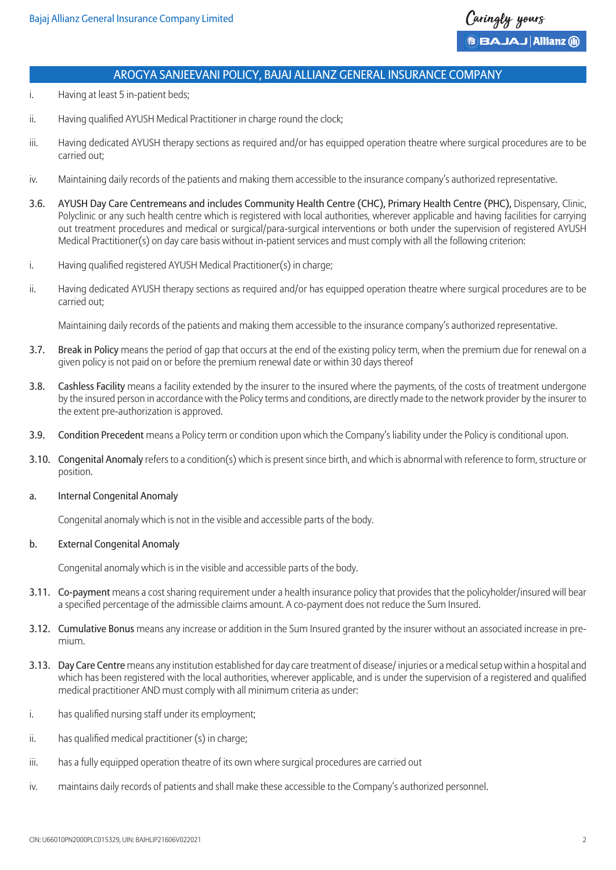

- i. Having at least 5 in-patient beds;
- ii. Having qualified AYUSH Medical Practitioner in charge round the clock;
- iii. Having dedicated AYUSH therapy sections as required and/or has equipped operation theatre where surgical procedures are to be carried out;
- iv. Maintaining daily records of the patients and making them accessible to the insurance company's authorized representative.
- 3.6. AYUSH Day Care Centremeans and includes Community Health Centre (CHC), Primary Health Centre (PHC), Dispensary, Clinic, Polyclinic or any such health centre which is registered with local authorities, wherever applicable and having facilities for carrying out treatment procedures and medical or surgical/para-surgical interventions or both under the supervision of registered AYUSH Medical Practitioner(s) on day care basis without in-patient services and must comply with all the following criterion:
- i. Having qualified registered AYUSH Medical Practitioner(s) in charge;
- ii. Having dedicated AYUSH therapy sections as required and/or has equipped operation theatre where surgical procedures are to be carried out;

Maintaining daily records of the patients and making them accessible to the insurance company's authorized representative.

- 3.7. Break in Policy means the period of gap that occurs at the end of the existing policy term, when the premium due for renewal on a given policy is not paid on or before the premium renewal date or within 30 days thereof
- 3.8. Cashless Facility means a facility extended by the insurer to the insured where the payments, of the costs of treatment undergone by the insured person in accordance with the Policy terms and conditions, are directly made to the network provider by the insurer to the extent pre-authorization is approved.
- 3.9. Condition Precedent means a Policy term or condition upon which the Company's liability under the Policy is conditional upon.
- 3.10. Congenital Anomaly refers to a condition(s) which is present since birth, and which is abnormal with reference to form, structure or position.

#### a. Internal Congenital Anomaly

Congenital anomaly which is not in the visible and accessible parts of the body.

#### b. External Congenital Anomaly

Congenital anomaly which is in the visible and accessible parts of the body.

- 3.11. Co-payment means a cost sharing requirement under a health insurance policy that provides that the policyholder/insured will bear a specified percentage of the admissible claims amount. A co-payment does not reduce the Sum Insured.
- 3.12. Cumulative Bonus means any increase or addition in the Sum Insured granted by the insurer without an associated increase in premium.
- 3.13. Day Care Centre means any institution established for day care treatment of disease/ injuries or a medical setup within a hospital and which has been registered with the local authorities, wherever applicable, and is under the supervision of a registered and qualified medical practitioner AND must comply with all minimum criteria as under:
- i. has qualified nursing staff under its employment;
- ii. has qualified medical practitioner (s) in charge;
- iii. has a fully equipped operation theatre of its own where surgical procedures are carried out
- iv. maintains daily records of patients and shall make these accessible to the Company's authorized personnel.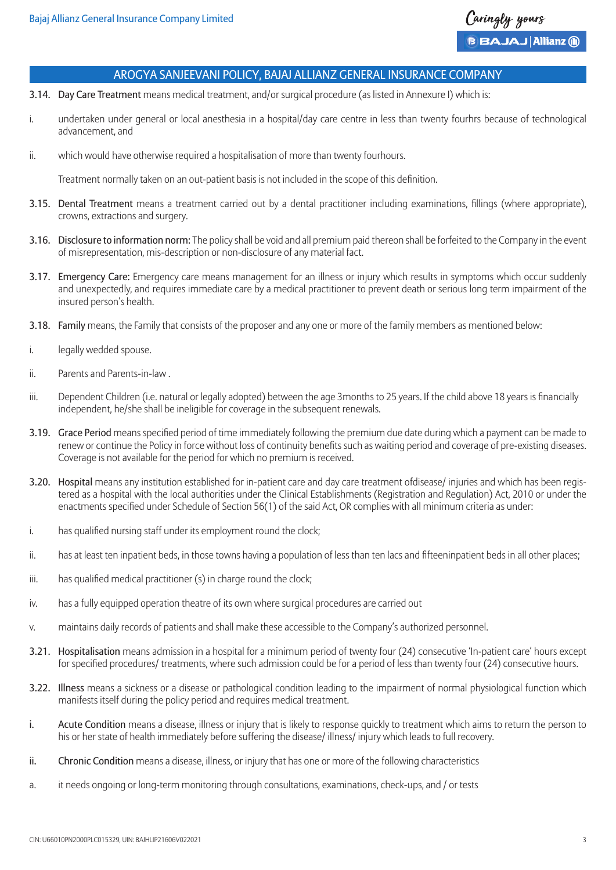

- 3.14. Day Care Treatment means medical treatment, and/or surgical procedure (as listed in Annexure I) which is:
- i. undertaken under general or local anesthesia in a hospital/day care centre in less than twenty fourhrs because of technological advancement, and
- ii. which would have otherwise required a hospitalisation of more than twenty fourhours.

Treatment normally taken on an out-patient basis is not included in the scope of this definition.

- 3.15. Dental Treatment means a treatment carried out by a dental practitioner including examinations, fillings (where appropriate), crowns, extractions and surgery.
- 3.16. Disclosure to information norm: The policy shall be void and all premium paid thereon shall be forfeited to the Company in the event of misrepresentation, mis-description or non-disclosure of any material fact.
- 3.17. Emergency Care: Emergency care means management for an illness or injury which results in symptoms which occur suddenly and unexpectedly, and requires immediate care by a medical practitioner to prevent death or serious long term impairment of the insured person's health.
- 3.18. Family means, the Family that consists of the proposer and any one or more of the family members as mentioned below:
- i. legally wedded spouse.
- ii. Parents and Parents-in-law .
- iii. Dependent Children (i.e. natural or legally adopted) between the age 3months to 25 years. If the child above 18 years is financially independent, he/she shall be ineligible for coverage in the subsequent renewals.
- 3.19. Grace Period means specified period of time immediately following the premium due date during which a payment can be made to renew or continue the Policy in force without loss of continuity benefits such as waiting period and coverage of pre-existing diseases. Coverage is not available for the period for which no premium is received.
- 3.20. Hospital means any institution established for in-patient care and day care treatment ofdisease/ injuries and which has been registered as a hospital with the local authorities under the Clinical Establishments (Registration and Regulation) Act, 2010 or under the enactments specified under Schedule of Section 56(1) of the said Act, OR complies with all minimum criteria as under:
- i. has qualified nursing staff under its employment round the clock;
- ii. has at least ten inpatient beds, in those towns having a population of less than ten lacs and fifteeninpatient beds in all other places;
- iii. has qualified medical practitioner (s) in charge round the clock;
- iv. has a fully equipped operation theatre of its own where surgical procedures are carried out
- v. maintains daily records of patients and shall make these accessible to the Company's authorized personnel.
- 3.21. Hospitalisation means admission in a hospital for a minimum period of twenty four (24) consecutive 'In-patient care' hours except for specified procedures/ treatments, where such admission could be for a period of less than twenty four (24) consecutive hours.
- 3.22. Illness means a sickness or a disease or pathological condition leading to the impairment of normal physiological function which manifests itself during the policy period and requires medical treatment.
- i. Acute Condition means a disease, illness or injury that is likely to response quickly to treatment which aims to return the person to his or her state of health immediately before suffering the disease/ illness/ injury which leads to full recovery.
- ii. Chronic Condition means a disease, illness, or injury that has one or more of the following characteristics
- a. it needs ongoing or long-term monitoring through consultations, examinations, check-ups, and / or tests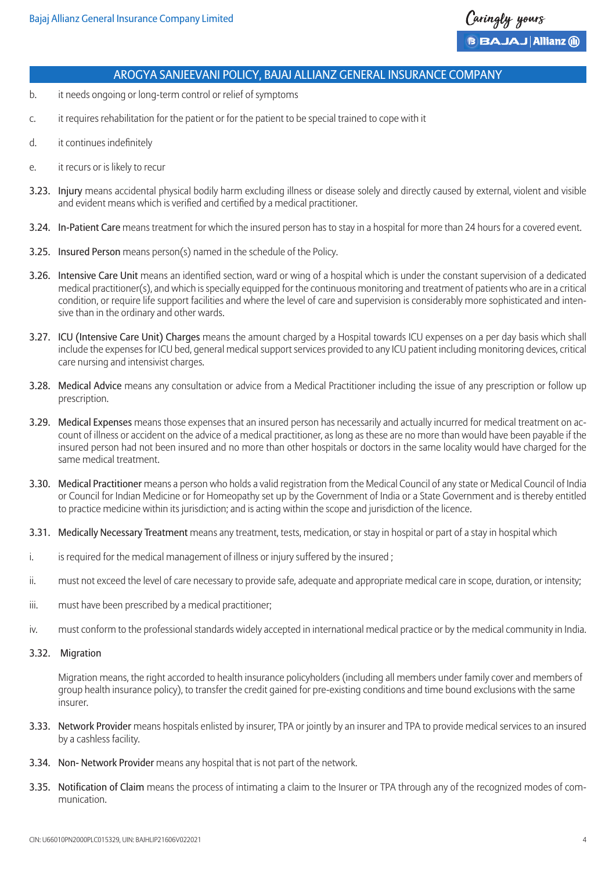

- b. it needs ongoing or long-term control or relief of symptoms
- c. it requires rehabilitation for the patient or for the patient to be special trained to cope with it
- d. it continues indefinitely
- e. it recurs or is likely to recur
- 3.23. Injury means accidental physical bodily harm excluding illness or disease solely and directly caused by external, violent and visible and evident means which is verified and certified by a medical practitioner.
- 3.24. In-Patient Care means treatment for which the insured person has to stay in a hospital for more than 24 hours for a covered event.
- 3.25. Insured Person means person(s) named in the schedule of the Policy.
- 3.26. Intensive Care Unit means an identified section, ward or wing of a hospital which is under the constant supervision of a dedicated medical practitioner(s), and which is specially equipped for the continuous monitoring and treatment of patients who are in a critical condition, or require life support facilities and where the level of care and supervision is considerably more sophisticated and intensive than in the ordinary and other wards.
- 3.27. ICU (Intensive Care Unit) Charges means the amount charged by a Hospital towards ICU expenses on a per day basis which shall include the expenses for ICU bed, general medical support services provided to any ICU patient including monitoring devices, critical care nursing and intensivist charges.
- 3.28. Medical Advice means any consultation or advice from a Medical Practitioner including the issue of any prescription or follow up prescription.
- 3.29. Medical Expenses means those expenses that an insured person has necessarily and actually incurred for medical treatment on account of illness or accident on the advice of a medical practitioner, as long as these are no more than would have been payable if the insured person had not been insured and no more than other hospitals or doctors in the same locality would have charged for the same medical treatment.
- 3.30. Medical Practitioner means a person who holds a valid registration from the Medical Council of any state or Medical Council of India or Council for Indian Medicine or for Homeopathy set up by the Government of India or a State Government and is thereby entitled to practice medicine within its jurisdiction; and is acting within the scope and jurisdiction of the licence.
- 3.31. Medically Necessary Treatment means any treatment, tests, medication, or stay in hospital or part of a stay in hospital which
- i. is required for the medical management of illness or injury suffered by the insured;
- ii. must not exceed the level of care necessary to provide safe, adequate and appropriate medical care in scope, duration, or intensity;
- iii. must have been prescribed by a medical practitioner;
- iv. must conform to the professional standards widely accepted in international medical practice or by the medical community in India.

#### 3.32. Migration

Migration means, the right accorded to health insurance policyholders (including all members under family cover and members of group health insurance policy), to transfer the credit gained for pre-existing conditions and time bound exclusions with the same insurer.

- 3.33. Network Provider means hospitals enlisted by insurer, TPA or jointly by an insurer and TPA to provide medical services to an insured by a cashless facility.
- 3.34. Non- Network Provider means any hospital that is not part of the network.
- 3.35. Notification of Claim means the process of intimating a claim to the Insurer or TPA through any of the recognized modes of communication.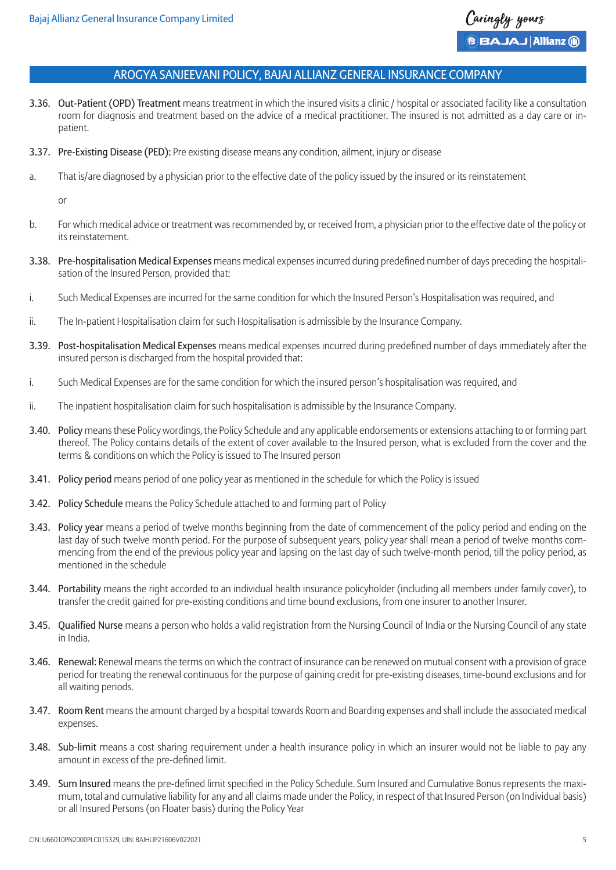

- 3.36. Out-Patient (OPD) Treatment means treatment in which the insured visits a clinic / hospital or associated facility like a consultation room for diagnosis and treatment based on the advice of a medical practitioner. The insured is not admitted as a day care or inpatient.
- 3.37. Pre-Existing Disease (PED): Pre existing disease means any condition, ailment, injury or disease
- a. That is/are diagnosed by a physician prior to the effective date of the policy issued by the insured or its reinstatement

or

- b. For which medical advice or treatment was recommended by, or received from, a physician prior to the effective date of the policy or its reinstatement.
- 3.38. Pre-hospitalisation Medical Expenses means medical expenses incurred during predefined number of days preceding the hospitalisation of the Insured Person, provided that:
- i. Such Medical Expenses are incurred for the same condition for which the Insured Person's Hospitalisation was required, and
- ii. The In-patient Hospitalisation claim for such Hospitalisation is admissible by the Insurance Company.
- 3.39. Post-hospitalisation Medical Expenses means medical expenses incurred during predefined number of days immediately after the insured person is discharged from the hospital provided that:
- i. Such Medical Expenses are for the same condition for which the insured person's hospitalisation was required, and
- ii. The inpatient hospitalisation claim for such hospitalisation is admissible by the Insurance Company.
- 3.40. Policy means these Policy wordings, the Policy Schedule and any applicable endorsements or extensions attaching to or forming part thereof. The Policy contains details of the extent of cover available to the Insured person, what is excluded from the cover and the terms & conditions on which the Policy is issued to The Insured person
- 3.41. Policy period means period of one policy year as mentioned in the schedule for which the Policy is issued
- 3.42. Policy Schedule means the Policy Schedule attached to and forming part of Policy
- 3.43. Policy year means a period of twelve months beginning from the date of commencement of the policy period and ending on the last day of such twelve month period. For the purpose of subsequent years, policy year shall mean a period of twelve months commencing from the end of the previous policy year and lapsing on the last day of such twelve-month period, till the policy period, as mentioned in the schedule
- 3.44. Portability means the right accorded to an individual health insurance policyholder (including all members under family cover), to transfer the credit gained for pre-existing conditions and time bound exclusions, from one insurer to another Insurer.
- 3.45. Qualified Nurse means a person who holds a valid registration from the Nursing Council of India or the Nursing Council of any state in India.
- 3.46. Renewal: Renewal means the terms on which the contract of insurance can be renewed on mutual consent with a provision of grace period for treating the renewal continuous for the purpose of gaining credit for pre-existing diseases, time-bound exclusions and for all waiting periods.
- 3.47. Room Rent means the amount charged by a hospital towards Room and Boarding expenses and shall include the associated medical expenses.
- 3.48. Sub-limit means a cost sharing requirement under a health insurance policy in which an insurer would not be liable to pay any amount in excess of the pre-defined limit.
- 3.49. Sum Insured means the pre-defined limit specified in the Policy Schedule. Sum Insured and Cumulative Bonus represents the maximum, total and cumulative liability for any and all claims made under the Policy, in respect of that Insured Person (on Individual basis) or all Insured Persons (on Floater basis) during the Policy Year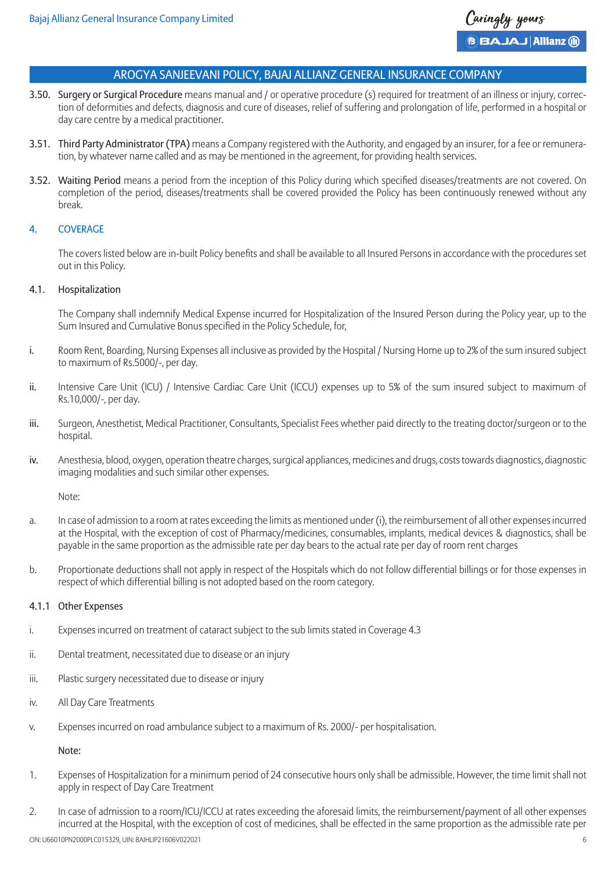

- 3.50. Surgery or Surgical Procedure means manual and / or operative procedure (s) required for treatment of an illness or injury, correction of deformities and defects, diagnosis and cure of diseases, relief of suffering and prolongation of life, performed in a hospital or day care centre by a medical practitioner.
- 3.51. Third Party Administrator (TPA) means a Company registered with the Authority, and engaged by an insurer, for a fee or remuneration, by whatever name called and as may be mentioned in the agreement, for providing health services.
- 3.52. Waiting Period means a period from the inception of this Policy during which specified diseases/treatments are not covered. On completion of the period, diseases/treatments shall be covered provided the Policy has been continuously renewed without any break.

## 4. COVERAGE

The covers listed below are in-built Policy benefits and shall be available to all Insured Persons in accordance with the procedures set out in this Policy.

## 4.1. Hospitalization

The Company shall indemnify Medical Expense incurred for Hospitalization of the Insured Person during the Policy year, up to the Sum Insured and Cumulative Bonus specified in the Policy Schedule, for,

- i. Room Rent, Boarding, Nursing Expenses all inclusive as provided by the Hospital / Nursing Home up to 2% of the sum insured subject to maximum of Rs.5000/-, per day.
- ii. Intensive Care Unit (ICU) / Intensive Cardiac Care Unit (ICCU) expenses up to 5% of the sum insured subject to maximum of Rs.10,000/-, per day.
- iii. Surgeon, Anesthetist, Medical Practitioner, Consultants, Specialist Fees whether paid directly to the treating doctor/surgeon or to the hospital.
- iv. Anesthesia, blood, oxygen, operation theatre charges, surgical appliances, medicines and drugs, costs towards diagnostics, diagnostic imaging modalities and such similar other expenses.

Note:

- a. In case of admission to a room at rates exceeding the limits as mentioned under (i), the reimbursement of all other expenses incurred at the Hospital, with the exception of cost of Pharmacy/medicines, consumables, implants, medical devices & diagnostics, shall be payable in the same proportion as the admissible rate per day bears to the actual rate per day of room rent charges
- b. Proportionate deductions shall not apply in respect of the Hospitals which do not follow differential billings or for those expenses in respect of which differential billing is not adopted based on the room category.

## 4.1.1 Other Expenses

- i. Expenses incurred on treatment of cataract subject to the sub limits stated in Coverage 4.3
- ii. Dental treatment, necessitated due to disease or an injury
- iii. Plastic surgery necessitated due to disease or injury
- iv. All Day Care Treatments
- v. Expenses incurred on road ambulance subject to a maximum of Rs. 2000/- per hospitalisation.

Note:

- 1. Expenses of Hospitalization for a minimum period of 24 consecutive hours only shall be admissible. However, the time limit shall not apply in respect of Day Care Treatment
- 2. In case of admission to a room/ICU/ICCU at rates exceeding the aforesaid limits, the reimbursement/payment of all other expenses incurred at the Hospital, with the exception of cost of medicines, shall be effected in the same proportion as the admissible rate per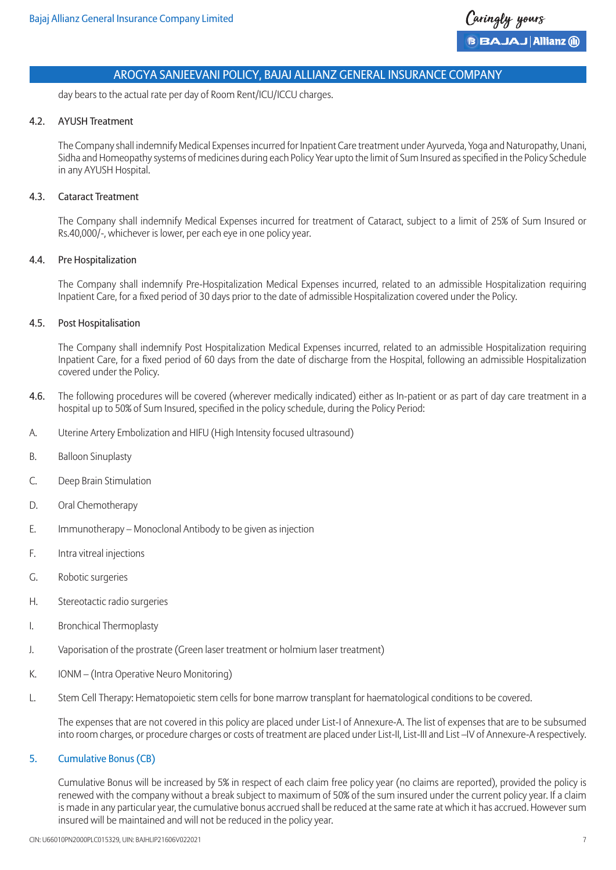day bears to the actual rate per day of Room Rent/ICU/ICCU charges.

#### 4.2. AYUSH Treatment

The Company shall indemnify Medical Expenses incurred for Inpatient Care treatment under Ayurveda, Yoga and Naturopathy, Unani, Sidha and Homeopathy systems of medicines during each Policy Year upto the limit of Sum Insured as specified in the Policy Schedule in any AYUSH Hospital.

## 4.3. Cataract Treatment

The Company shall indemnify Medical Expenses incurred for treatment of Cataract, subject to a limit of 25% of Sum Insured or Rs.40,000/-, whichever is lower, per each eye in one policy year.

## 4.4. Pre Hospitalization

The Company shall indemnify Pre-Hospitalization Medical Expenses incurred, related to an admissible Hospitalization requiring Inpatient Care, for a fixed period of 30 days prior to the date of admissible Hospitalization covered under the Policy.

## 4.5. Post Hospitalisation

The Company shall indemnify Post Hospitalization Medical Expenses incurred, related to an admissible Hospitalization requiring Inpatient Care, for a fixed period of 60 days from the date of discharge from the Hospital, following an admissible Hospitalization covered under the Policy.

- 4.6. The following procedures will be covered (wherever medically indicated) either as In-patient or as part of day care treatment in a hospital up to 50% of Sum Insured, specified in the policy schedule, during the Policy Period:
- A. Uterine Artery Embolization and HIFU (High Intensity focused ultrasound)
- B. Balloon Sinuplasty
- C. Deep Brain Stimulation
- D. Oral Chemotherapy
- E. Immunotherapy Monoclonal Antibody to be given as injection
- F. Intra vitreal injections
- G. Robotic surgeries
- H. Stereotactic radio surgeries
- I. Bronchical Thermoplasty
- J. Vaporisation of the prostrate (Green laser treatment or holmium laser treatment)
- K. IONM (Intra Operative Neuro Monitoring)
- L. Stem Cell Therapy: Hematopoietic stem cells for bone marrow transplant for haematological conditions to be covered.

The expenses that are not covered in this policy are placed under List-I of Annexure-A. The list of expenses that are to be subsumed into room charges, or procedure charges or costs of treatment are placed under List-II, List-III and List –IV of Annexure-A respectively.

## 5. Cumulative Bonus (CB)

Cumulative Bonus will be increased by 5% in respect of each claim free policy year (no claims are reported), provided the policy is renewed with the company without a break subject to maximum of 50% of the sum insured under the current policy year. If a claim is made in any particular year, the cumulative bonus accrued shall be reduced at the same rate at which it has accrued. However sum insured will be maintained and will not be reduced in the policy year.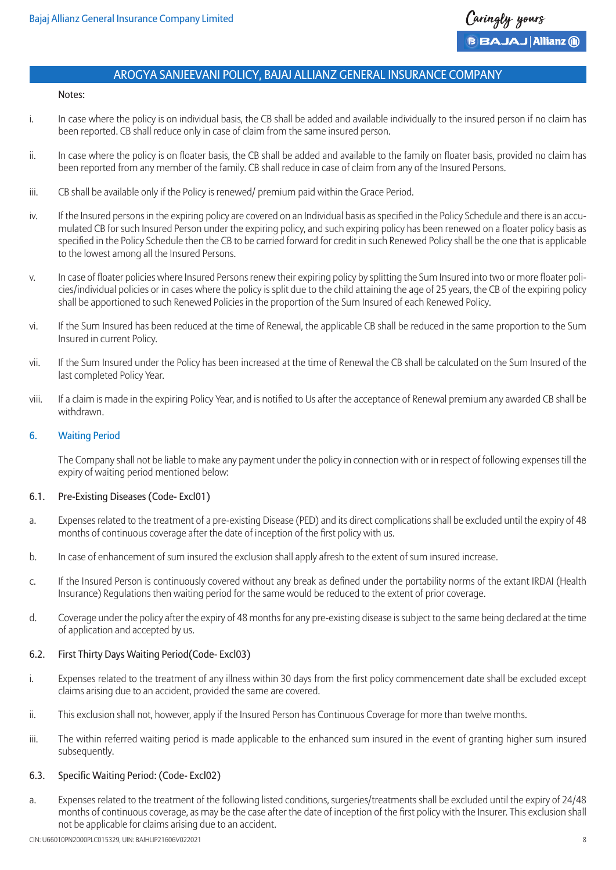

#### Notes:

- i. In case where the policy is on individual basis, the CB shall be added and available individually to the insured person if no claim has been reported. CB shall reduce only in case of claim from the same insured person.
- ii. In case where the policy is on floater basis, the CB shall be added and available to the family on floater basis, provided no claim has been reported from any member of the family. CB shall reduce in case of claim from any of the Insured Persons.
- iii. CB shall be available only if the Policy is renewed/ premium paid within the Grace Period.
- iv. If the Insured persons in the expiring policy are covered on an Individual basis as specified in the Policy Schedule and there is an accumulated CB for such Insured Person under the expiring policy, and such expiring policy has been renewed on a floater policy basis as specified in the Policy Schedule then the CB to be carried forward for credit in such Renewed Policy shall be the one that is applicable to the lowest among all the Insured Persons.
- v. In case of floater policies where Insured Persons renew their expiring policy by splitting the Sum Insured into two or more floater policies/individual policies or in cases where the policy is split due to the child attaining the age of 25 years, the CB of the expiring policy shall be apportioned to such Renewed Policies in the proportion of the Sum Insured of each Renewed Policy.
- vi. If the Sum Insured has been reduced at the time of Renewal, the applicable CB shall be reduced in the same proportion to the Sum Insured in current Policy.
- vii. If the Sum Insured under the Policy has been increased at the time of Renewal the CB shall be calculated on the Sum Insured of the last completed Policy Year.
- viii. If a claim is made in the expiring Policy Year, and is notified to Us after the acceptance of Renewal premium any awarded CB shall be withdrawn.

## 6. Waiting Period

The Company shall not be liable to make any payment under the policy in connection with or in respect of following expenses till the expiry of waiting period mentioned below:

## 6.1. Pre-Existing Diseases (Code- Excl01)

- a. Expenses related to the treatment of a pre-existing Disease (PED) and its direct complications shall be excluded until the expiry of 48 months of continuous coverage after the date of inception of the first policy with us.
- b. In case of enhancement of sum insured the exclusion shall apply afresh to the extent of sum insured increase.
- c. If the Insured Person is continuously covered without any break as defined under the portability norms of the extant IRDAI (Health Insurance) Regulations then waiting period for the same would be reduced to the extent of prior coverage.
- d. Coverage under the policy after the expiry of 48 months for any pre-existing disease is subject to the same being declared at the time of application and accepted by us.

## 6.2. First Thirty Days Waiting Period(Code- Excl03)

- i. Expenses related to the treatment of any illness within 30 days from the first policy commencement date shall be excluded except claims arising due to an accident, provided the same are covered.
- ii. This exclusion shall not, however, apply if the Insured Person has Continuous Coverage for more than twelve months.
- iii. The within referred waiting period is made applicable to the enhanced sum insured in the event of granting higher sum insured subsequently.

## 6.3. Specific Waiting Period: (Code- Excl02)

a. Expenses related to the treatment of the following listed conditions, surgeries/treatments shall be excluded until the expiry of 24/48 months of continuous coverage, as may be the case after the date of inception of the first policy with the Insurer. This exclusion shall not be applicable for claims arising due to an accident.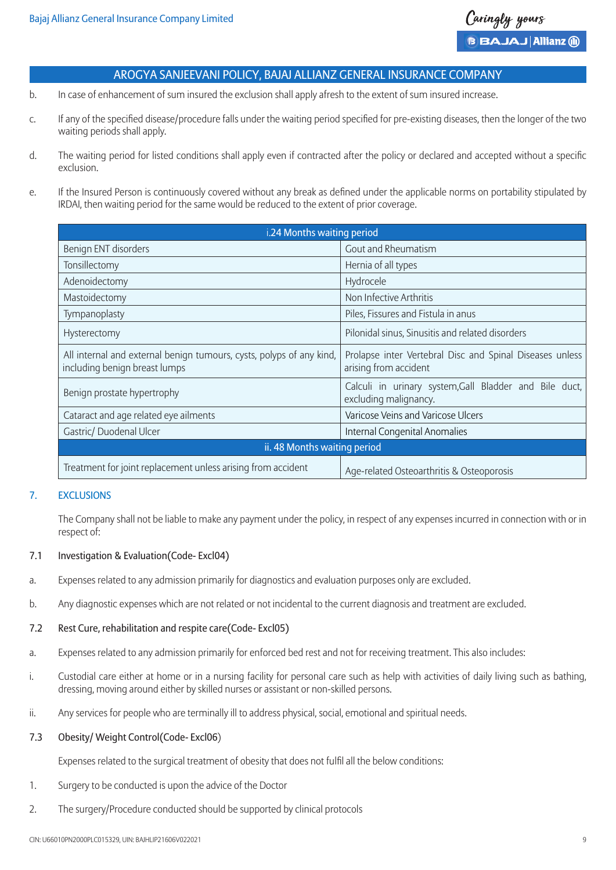- b. In case of enhancement of sum insured the exclusion shall apply afresh to the extent of sum insured increase.
- c. If any of the specified disease/procedure falls under the waiting period specified for pre-existing diseases, then the longer of the two waiting periods shall apply.
- d. The waiting period for listed conditions shall apply even if contracted after the policy or declared and accepted without a specific exclusion.
- e. If the Insured Person is continuously covered without any break as defined under the applicable norms on portability stipulated by IRDAI, then waiting period for the same would be reduced to the extent of prior coverage.

| i.24 Months waiting period                                                                            |                                                                                   |  |
|-------------------------------------------------------------------------------------------------------|-----------------------------------------------------------------------------------|--|
| Benign ENT disorders                                                                                  | Gout and Rheumatism                                                               |  |
| Tonsillectomy                                                                                         | Hernia of all types                                                               |  |
| Adenoidectomy                                                                                         | Hydrocele                                                                         |  |
| Mastoidectomy                                                                                         | Non Infective Arthritis                                                           |  |
| Tympanoplasty                                                                                         | Piles, Fissures and Fistula in anus                                               |  |
| Hysterectomy                                                                                          | Pilonidal sinus, Sinusitis and related disorders                                  |  |
| All internal and external benign tumours, cysts, polyps of any kind,<br>including benign breast lumps | Prolapse inter Vertebral Disc and Spinal Diseases unless<br>arising from accident |  |
| Benign prostate hypertrophy                                                                           | Calculi in urinary system, Gall Bladder and Bile duct,<br>excluding malignancy.   |  |
| Cataract and age related eye ailments                                                                 | Varicose Veins and Varicose Ulcers                                                |  |
| Gastric/ Duodenal Ulcer                                                                               | Internal Congenital Anomalies                                                     |  |
| ii. 48 Months waiting period                                                                          |                                                                                   |  |
| Treatment for joint replacement unless arising from accident                                          | Age-related Osteoarthritis & Osteoporosis                                         |  |

## 7. EXCLUSIONS

The Company shall not be liable to make any payment under the policy, in respect of any expenses incurred in connection with or in respect of:

## 7.1 Investigation & Evaluation(Code- Excl04)

- a. Expenses related to any admission primarily for diagnostics and evaluation purposes only are excluded.
- b. Any diagnostic expenses which are not related or not incidental to the current diagnosis and treatment are excluded.

#### 7.2 Rest Cure, rehabilitation and respite care(Code- Excl05)

- a. Expenses related to any admission primarily for enforced bed rest and not for receiving treatment. This also includes:
- i. Custodial care either at home or in a nursing facility for personal care such as help with activities of daily living such as bathing, dressing, moving around either by skilled nurses or assistant or non-skilled persons.
- ii. Any services for people who are terminally ill to address physical, social, emotional and spiritual needs.

#### 7.3 Obesity/ Weight Control(Code- Excl06)

Expenses related to the surgical treatment of obesity that does not fulfil all the below conditions:

- 1. Surgery to be conducted is upon the advice of the Doctor
- 2. The surgery/Procedure conducted should be supported by clinical protocols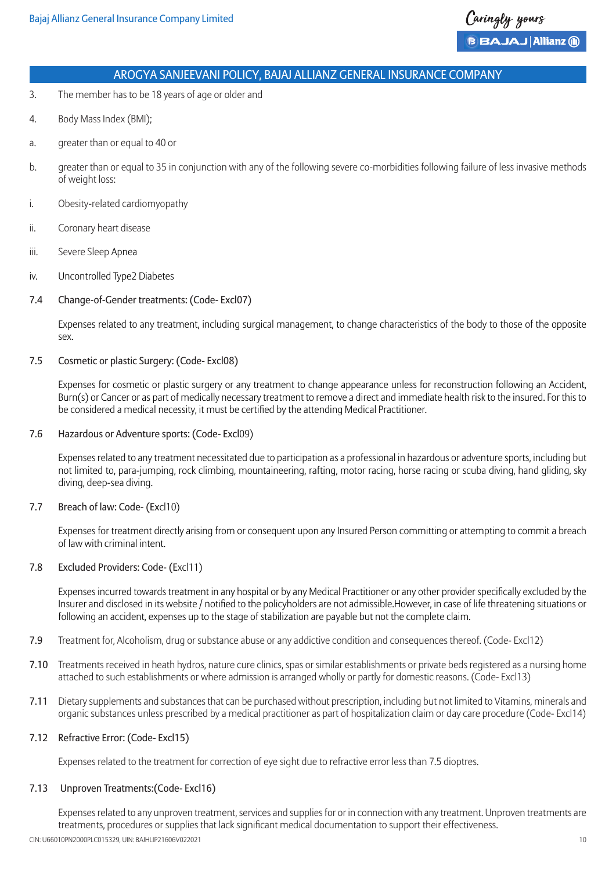- 3. The member has to be 18 years of age or older and
- 4. Body Mass Index (BMI);
- a. greater than or equal to 40 or
- b. greater than or equal to 35 in conjunction with any of the following severe co-morbidities following failure of less invasive methods of weight loss:
- i. Obesity-related cardiomyopathy
- ii. Coronary heart disease
- iii. Severe Sleep Apnea
- iv. Uncontrolled Type2 Diabetes

## 7.4 Change-of-Gender treatments: (Code- Excl07)

Expenses related to any treatment, including surgical management, to change characteristics of the body to those of the opposite sex.

## 7.5 Cosmetic or plastic Surgery: (Code- Excl08)

Expenses for cosmetic or plastic surgery or any treatment to change appearance unless for reconstruction following an Accident, Burn(s) or Cancer or as part of medically necessary treatment to remove a direct and immediate health risk to the insured. For this to be considered a medical necessity, it must be certified by the attending Medical Practitioner.

#### 7.6 Hazardous or Adventure sports: (Code- Excl09)

Expenses related to any treatment necessitated due to participation as a professional in hazardous or adventure sports, including but not limited to, para-jumping, rock climbing, mountaineering, rafting, motor racing, horse racing or scuba diving, hand gliding, sky diving, deep-sea diving.

## 7.7 Breach of law: Code- (Excl10)

Expenses for treatment directly arising from or consequent upon any Insured Person committing or attempting to commit a breach of law with criminal intent.

#### 7.8 Excluded Providers: Code- (Excl11)

Expenses incurred towards treatment in any hospital or by any Medical Practitioner or any other provider specifically excluded by the Insurer and disclosed in its website / notified to the policyholders are not admissible.However, in case of life threatening situations or following an accident, expenses up to the stage of stabilization are payable but not the complete claim.

- 7.9 Treatment for, Alcoholism, drug or substance abuse or any addictive condition and consequences thereof. (Code- Excl12)
- 7.10 Treatments received in heath hydros, nature cure clinics, spas or similar establishments or private beds registered as a nursing home attached to such establishments or where admission is arranged wholly or partly for domestic reasons. (Code- Excl13)
- 7.11 Dietary supplements and substances that can be purchased without prescription, including but not limited to Vitamins, minerals and organic substances unless prescribed by a medical practitioner as part of hospitalization claim or day care procedure (Code- Excl14)

#### 7.12 Refractive Error: (Code- Excl15)

Expenses related to the treatment for correction of eye sight due to refractive error less than 7.5 dioptres.

#### 7.13 Unproven Treatments:(Code- Excl16)

CIN: U66010PN2000PLC015329, UIN: BAJHLIP21606V022021 10 Expenses related to any unproven treatment, services and supplies for or in connection with any treatment. Unproven treatments are treatments, procedures or supplies that lack significant medical documentation to support their effectiveness.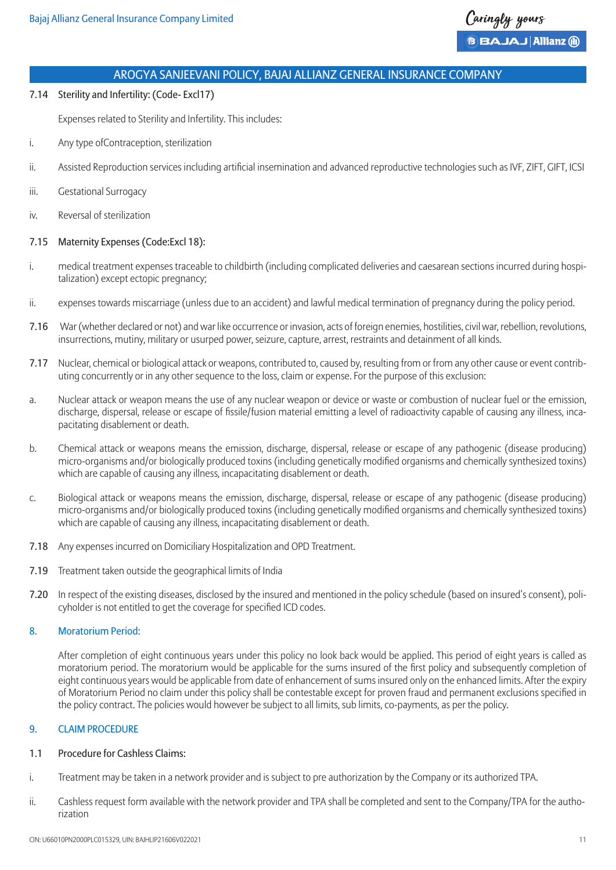7.14 Sterility and Infertility: (Code- Excl17)

Expenses related to Sterility and Infertility. This includes:

- i. Any type ofContraception, sterilization
- ii. Assisted Reproduction services including artificial insemination and advanced reproductive technologies such as IVF, ZIFT, GIFT, ICSI
- iii. Gestational Surrogacy
- iv. Reversal of sterilization

## 7.15 Maternity Expenses (Code:Excl 18):

- i. medical treatment expenses traceable to childbirth (including complicated deliveries and caesarean sections incurred during hospitalization) except ectopic pregnancy;
- ii. expenses towards miscarriage (unless due to an accident) and lawful medical termination of pregnancy during the policy period.
- 7.16 War (whether declared or not) and war like occurrence or invasion, acts of foreign enemies, hostilities, civil war, rebellion, revolutions, insurrections, mutiny, military or usurped power, seizure, capture, arrest, restraints and detainment of all kinds.
- 7.17 Nuclear, chemical or biological attack or weapons, contributed to, caused by, resulting from or from any other cause or event contributing concurrently or in any other sequence to the loss, claim or expense. For the purpose of this exclusion:
- a. Nuclear attack or weapon means the use of any nuclear weapon or device or waste or combustion of nuclear fuel or the emission, discharge, dispersal, release or escape of fissile/fusion material emitting a level of radioactivity capable of causing any illness, incapacitating disablement or death.
- b. Chemical attack or weapons means the emission, discharge, dispersal, release or escape of any pathogenic (disease producing) micro-organisms and/or biologically produced toxins (including genetically modified organisms and chemically synthesized toxins) which are capable of causing any illness, incapacitating disablement or death.
- c. Biological attack or weapons means the emission, discharge, dispersal, release or escape of any pathogenic (disease producing) micro-organisms and/or biologically produced toxins (including genetically modified organisms and chemically synthesized toxins) which are capable of causing any illness, incapacitating disablement or death.
- 7.18 Any expenses incurred on Domiciliary Hospitalization and OPD Treatment.
- 7.19 Treatment taken outside the geographical limits of India
- 7.20 In respect of the existing diseases, disclosed by the insured and mentioned in the policy schedule (based on insured's consent), policyholder is not entitled to get the coverage for specified ICD codes.

## 8. Moratorium Period:

After completion of eight continuous years under this policy no look back would be applied. This period of eight years is called as moratorium period. The moratorium would be applicable for the sums insured of the first policy and subsequently completion of eight continuous years would be applicable from date of enhancement of sums insured only on the enhanced limits. After the expiry of Moratorium Period no claim under this policy shall be contestable except for proven fraud and permanent exclusions specified in the policy contract. The policies would however be subject to all limits, sub limits, co-payments, as per the policy.

## 9. CLAIM PROCEDURE

## 1.1 Procedure for Cashless Claims:

- i. Treatment may be taken in a network provider and is subject to pre authorization by the Company or its authorized TPA.
- ii. Cashless request form available with the network provider and TPA shall be completed and sent to the Company/TPA for the authorization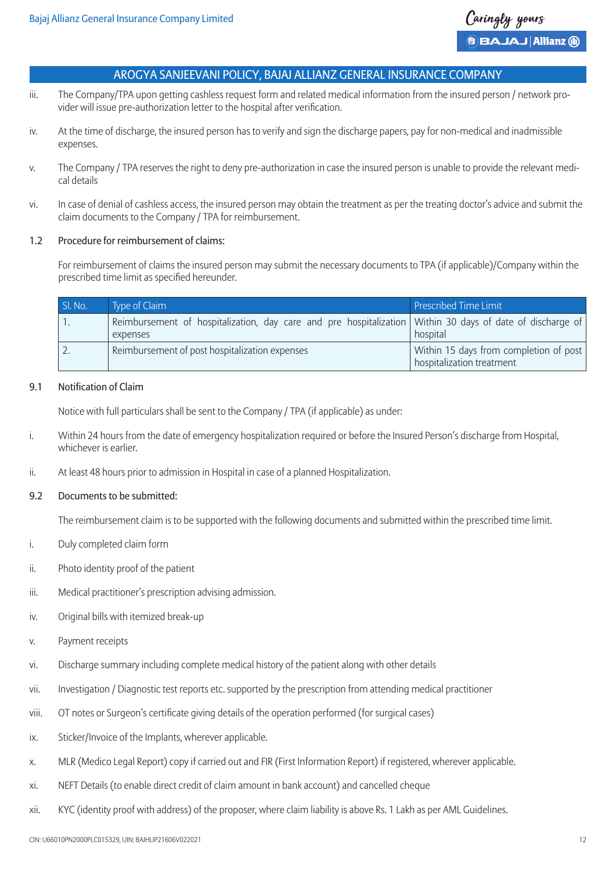- iii. The Company/TPA upon getting cashless request form and related medical information from the insured person / network provider will issue pre-authorization letter to the hospital after verification.
- iv. At the time of discharge, the insured person has to verify and sign the discharge papers, pay for non-medical and inadmissible expenses.
- v. The Company / TPA reserves the right to deny pre-authorization in case the insured person is unable to provide the relevant medical details
- vi. In case of denial of cashless access, the insured person may obtain the treatment as per the treating doctor's advice and submit the claim documents to the Company / TPA for reimbursement.

## 1.2 Procedure for reimbursement of claims:

For reimbursement of claims the insured person may submit the necessary documents to TPA (if applicable)/Company within the prescribed time limit as specified hereunder.

| SI. No. | Type of Claim                                                                                                         | <b>Prescribed Time Limit</b>                                        |
|---------|-----------------------------------------------------------------------------------------------------------------------|---------------------------------------------------------------------|
|         | Reimbursement of hospitalization, day care and pre hospitalization Within 30 days of date of discharge of<br>expenses | hospital                                                            |
|         | Reimbursement of post hospitalization expenses                                                                        | Within 15 days from completion of post<br>hospitalization treatment |

## 9.1 Notification of Claim

Notice with full particulars shall be sent to the Company / TPA (if applicable) as under:

- i. Within 24 hours from the date of emergency hospitalization required or before the Insured Person's discharge from Hospital, whichever is earlier.
- ii. At least 48 hours prior to admission in Hospital in case of a planned Hospitalization.

## 9.2 Documents to be submitted:

The reimbursement claim is to be supported with the following documents and submitted within the prescribed time limit.

- i. Duly completed claim form
- ii. Photo identity proof of the patient
- iii. Medical practitioner's prescription advising admission.
- iv. Original bills with itemized break-up
- v. Payment receipts
- vi. Discharge summary including complete medical history of the patient along with other details
- vii. Investigation / Diagnostic test reports etc. supported by the prescription from attending medical practitioner
- viii. OT notes or Surgeon's certificate giving details of the operation performed (for surgical cases)
- ix. Sticker/Invoice of the Implants, wherever applicable.
- x. MLR (Medico Legal Report) copy if carried out and FIR (First Information Report) if registered, wherever applicable.
- xi. NEFT Details (to enable direct credit of claim amount in bank account) and cancelled cheque
- xii. KYC (identity proof with address) of the proposer, where claim liability is above Rs. 1 Lakh as per AML Guidelines.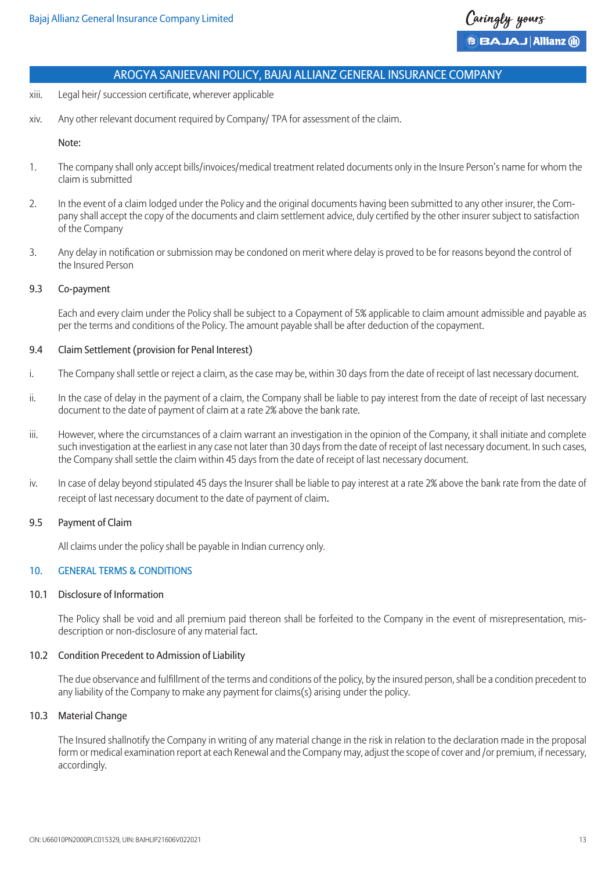- xiii. Legal heir/ succession certificate, wherever applicable
- xiv. Any other relevant document required by Company/ TPA for assessment of the claim.

#### Note:

- 1. The company shall only accept bills/invoices/medical treatment related documents only in the Insure Person's name for whom the claim is submitted
- 2. In the event of a claim lodged under the Policy and the original documents having been submitted to any other insurer, the Company shall accept the copy of the documents and claim settlement advice, duly certified by the other insurer subject to satisfaction of the Company
- 3. Any delay in notification or submission may be condoned on merit where delay is proved to be for reasons beyond the control of the Insured Person

#### 9.3 Co-payment

Each and every claim under the Policy shall be subject to a Copayment of 5% applicable to claim amount admissible and payable as per the terms and conditions of the Policy. The amount payable shall be after deduction of the copayment.

#### 9.4 Claim Settlement (provision for Penal Interest)

- i. The Company shall settle or reject a claim, as the case may be, within 30 days from the date of receipt of last necessary document.
- ii. In the case of delay in the payment of a claim, the Company shall be liable to pay interest from the date of receipt of last necessary document to the date of payment of claim at a rate 2% above the bank rate.
- iii. However, where the circumstances of a claim warrant an investigation in the opinion of the Company, it shall initiate and complete such investigation at the earliest in any case not later than 30 days from the date of receipt of last necessary document. In such cases, the Company shall settle the claim within 45 days from the date of receipt of last necessary document.
- iv. In case of delay beyond stipulated 45 days the Insurer shall be liable to pay interest at a rate 2% above the bank rate from the date of receipt of last necessary document to the date of payment of claim.

#### 9.5 Payment of Claim

All claims under the policy shall be payable in Indian currency only.

## 10. GENERAL TERMS & CONDITIONS

#### 10.1 Disclosure of Information

The Policy shall be void and all premium paid thereon shall be forfeited to the Company in the event of misrepresentation, misdescription or non-disclosure of any material fact.

#### 10.2 Condition Precedent to Admission of Liability

The due observance and fulfillment of the terms and conditions of the policy, by the insured person, shall be a condition precedent to any liability of the Company to make any payment for claims(s) arising under the policy.

#### 10.3 Material Change

The Insured shallnotify the Company in writing of any material change in the risk in relation to the declaration made in the proposal form or medical examination report at each Renewal and the Company may, adjust the scope of cover and /or premium, if necessary, accordingly.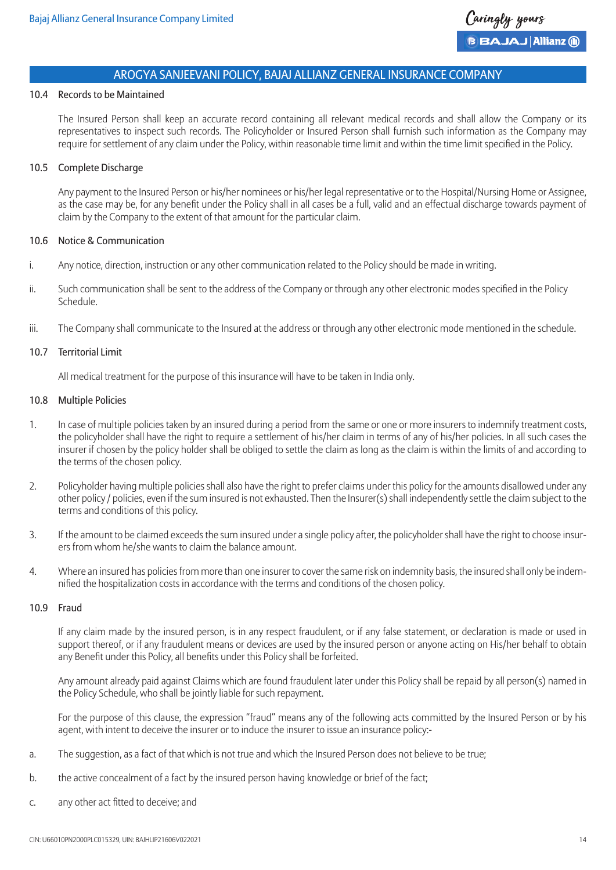#### 10.4 Records to be Maintained

The Insured Person shall keep an accurate record containing all relevant medical records and shall allow the Company or its representatives to inspect such records. The Policyholder or Insured Person shall furnish such information as the Company may require for settlement of any claim under the Policy, within reasonable time limit and within the time limit specified in the Policy.

#### 10.5 Complete Discharge

Any payment to the Insured Person or his/her nominees or his/her legal representative or to the Hospital/Nursing Home or Assignee, as the case may be, for any benefit under the Policy shall in all cases be a full, valid and an effectual discharge towards payment of claim by the Company to the extent of that amount for the particular claim.

#### 10.6 Notice & Communication

- i. Any notice, direction, instruction or any other communication related to the Policy should be made in writing.
- ii. Such communication shall be sent to the address of the Company or through any other electronic modes specified in the Policy Schedule.
- iii. The Company shall communicate to the Insured at the address or through any other electronic mode mentioned in the schedule.

#### 10.7 Territorial Limit

All medical treatment for the purpose of this insurance will have to be taken in India only.

## 10.8 Multiple Policies

- 1. In case of multiple policies taken by an insured during a period from the same or one or more insurers to indemnify treatment costs, the policyholder shall have the right to require a settlement of his/her claim in terms of any of his/her policies. In all such cases the insurer if chosen by the policy holder shall be obliged to settle the claim as long as the claim is within the limits of and according to the terms of the chosen policy.
- 2. Policyholder having multiple policies shall also have the right to prefer claims under this policy for the amounts disallowed under any other policy / policies, even if the sum insured is not exhausted. Then the Insurer(s) shall independently settle the claim subject to the terms and conditions of this policy.
- 3. If the amount to be claimed exceeds the sum insured under a single policy after, the policyholder shall have the right to choose insurers from whom he/she wants to claim the balance amount.
- 4. Where an insured has policies from more than one insurer to cover the same risk on indemnity basis, the insured shall only be indemnified the hospitalization costs in accordance with the terms and conditions of the chosen policy.

## 10.9 Fraud

If any claim made by the insured person, is in any respect fraudulent, or if any false statement, or declaration is made or used in support thereof, or if any fraudulent means or devices are used by the insured person or anyone acting on His/her behalf to obtain any Benefit under this Policy, all benefits under this Policy shall be forfeited.

Any amount already paid against Claims which are found fraudulent later under this Policy shall be repaid by all person(s) named in the Policy Schedule, who shall be jointly liable for such repayment.

For the purpose of this clause, the expression "fraud" means any of the following acts committed by the Insured Person or by his agent, with intent to deceive the insurer or to induce the insurer to issue an insurance policy:-

- a. The suggestion, as a fact of that which is not true and which the Insured Person does not believe to be true;
- b. the active concealment of a fact by the insured person having knowledge or brief of the fact;
- c. any other act fitted to deceive; and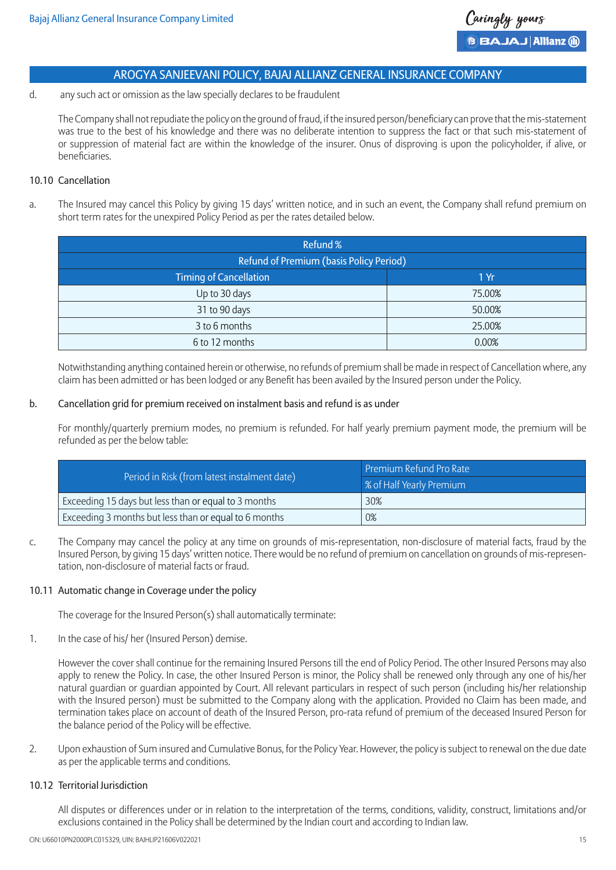d. any such act or omission as the law specially declares to be fraudulent

The Company shall not repudiate the policy on the ground of fraud, if the insured person/beneficiary can prove that the mis-statement was true to the best of his knowledge and there was no deliberate intention to suppress the fact or that such mis-statement of or suppression of material fact are within the knowledge of the insurer. Onus of disproving is upon the policyholder, if alive, or beneficiaries.

## 10.10 Cancellation

a. The Insured may cancel this Policy by giving 15 days' written notice, and in such an event, the Company shall refund premium on short term rates for the unexpired Policy Period as per the rates detailed below.

| Refund %                                       |        |
|------------------------------------------------|--------|
| <b>Refund of Premium (basis Policy Period)</b> |        |
| <b>Timing of Cancellation</b>                  | 1Yr    |
| Up to 30 days                                  | 75.00% |
| 31 to 90 days                                  | 50.00% |
| 3 to 6 months                                  | 25.00% |
| 6 to 12 months                                 | 0.00%  |

Notwithstanding anything contained herein or otherwise, no refunds of premium shall be made in respect of Cancellation where, any claim has been admitted or has been lodged or any Benefit has been availed by the Insured person under the Policy.

## b. Cancellation grid for premium received on instalment basis and refund is as under

For monthly/quarterly premium modes, no premium is refunded. For half yearly premium payment mode, the premium will be refunded as per the below table:

| Period in Risk (from latest instalment date)          | Premium Refund Pro Rate  |
|-------------------------------------------------------|--------------------------|
|                                                       | % of Half Yearly Premium |
| Exceeding 15 days but less than or equal to 3 months  | 30%                      |
| Exceeding 3 months but less than or equal to 6 months | 0%                       |

c. The Company may cancel the policy at any time on grounds of mis-representation, non-disclosure of material facts, fraud by the Insured Person, by giving 15 days' written notice. There would be no refund of premium on cancellation on grounds of mis-representation, non-disclosure of material facts or fraud.

## 10.11 Automatic change in Coverage under the policy

The coverage for the Insured Person(s) shall automatically terminate:

1. In the case of his/ her (Insured Person) demise.

However the cover shall continue for the remaining Insured Persons till the end of Policy Period. The other Insured Persons may also apply to renew the Policy. In case, the other Insured Person is minor, the Policy shall be renewed only through any one of his/her natural guardian or guardian appointed by Court. All relevant particulars in respect of such person (including his/her relationship with the Insured person) must be submitted to the Company along with the application. Provided no Claim has been made, and termination takes place on account of death of the Insured Person, pro-rata refund of premium of the deceased Insured Person for the balance period of the Policy will be effective.

2. Upon exhaustion of Sum insured and Cumulative Bonus, for the Policy Year. However, the policy is subject to renewal on the due date as per the applicable terms and conditions.

## 10.12 Territorial Jurisdiction

All disputes or differences under or in relation to the interpretation of the terms, conditions, validity, construct, limitations and/or exclusions contained in the Policy shall be determined by the Indian court and according to Indian law.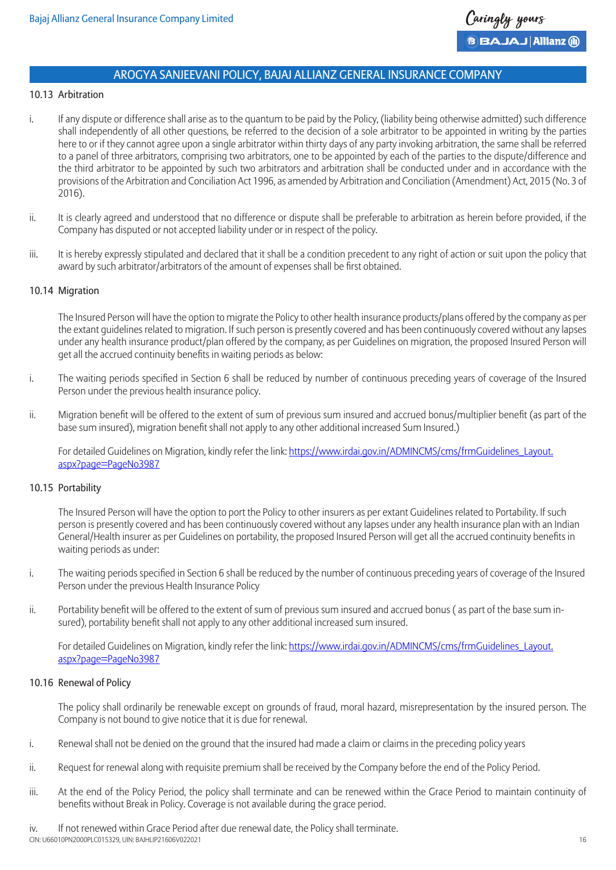## 10.13 Arbitration

- i. If any dispute or difference shall arise as to the quantum to be paid by the Policy, (liability being otherwise admitted) such difference shall independently of all other questions, be referred to the decision of a sole arbitrator to be appointed in writing by the parties here to or if they cannot agree upon a single arbitrator within thirty days of any party invoking arbitration, the same shall be referred to a panel of three arbitrators, comprising two arbitrators, one to be appointed by each of the parties to the dispute/difference and the third arbitrator to be appointed by such two arbitrators and arbitration shall be conducted under and in accordance with the provisions of the Arbitration and Conciliation Act 1996, as amended by Arbitration and Conciliation (Amendment) Act, 2015 (No. 3 of 2016).
- ii. It is clearly agreed and understood that no difference or dispute shall be preferable to arbitration as herein before provided, if the Company has disputed or not accepted liability under or in respect of the policy.
- iii. It is hereby expressly stipulated and declared that it shall be a condition precedent to any right of action or suit upon the policy that award by such arbitrator/arbitrators of the amount of expenses shall be first obtained.

### 10.14 Migration

The Insured Person will have the option to migrate the Policy to other health insurance products/plans offered by the company as per the extant guidelines related to migration. If such person is presently covered and has been continuously covered without any lapses under any health insurance product/plan offered by the company, as per Guidelines on migration, the proposed Insured Person will get all the accrued continuity benefits in waiting periods as below:

- i. The waiting periods specified in Section 6 shall be reduced by number of continuous preceding years of coverage of the Insured Person under the previous health insurance policy.
- ii. Migration benefit will be offered to the extent of sum of previous sum insured and accrued bonus/multiplier benefit (as part of the base sum insured), migration benefit shall not apply to any other additional increased Sum Insured.)

For detailed Guidelines on Migration, kindly refer the link: https://www.irdai.gov.in/ADMINCMS/cms/frmGuidelines\_Layout. aspx?page=PageNo3987

#### 10.15 Portability

The Insured Person will have the option to port the Policy to other insurers as per extant Guidelines related to Portability. If such person is presently covered and has been continuously covered without any lapses under any health insurance plan with an Indian General/Health insurer as per Guidelines on portability, the proposed Insured Person will get all the accrued continuity benefits in waiting periods as under:

- i. The waiting periods specified in Section 6 shall be reduced by the number of continuous preceding years of coverage of the Insured Person under the previous Health Insurance Policy
- ii. Portability benefit will be offered to the extent of sum of previous sum insured and accrued bonus ( as part of the base sum insured), portability benefit shall not apply to any other additional increased sum insured.

For detailed Guidelines on Migration, kindly refer the link: https://www.irdai.gov.in/ADMINCMS/cms/frmGuidelines\_Layout. aspx?page=PageNo3987

#### 10.16 Renewal of Policy

The policy shall ordinarily be renewable except on grounds of fraud, moral hazard, misrepresentation by the insured person. The Company is not bound to give notice that it is due for renewal.

- i. Renewal shall not be denied on the ground that the insured had made a claim or claims in the preceding policy years
- ii. Request for renewal along with requisite premium shall be received by the Company before the end of the Policy Period.
- iii. At the end of the Policy Period, the policy shall terminate and can be renewed within the Grace Period to maintain continuity of benefits without Break in Policy. Coverage is not available during the grace period.

CIN: U66010PN2000PLC015329, UIN: BAJHLIP21606V022021 16 iv. If not renewed within Grace Period after due renewal date, the Policy shall terminate.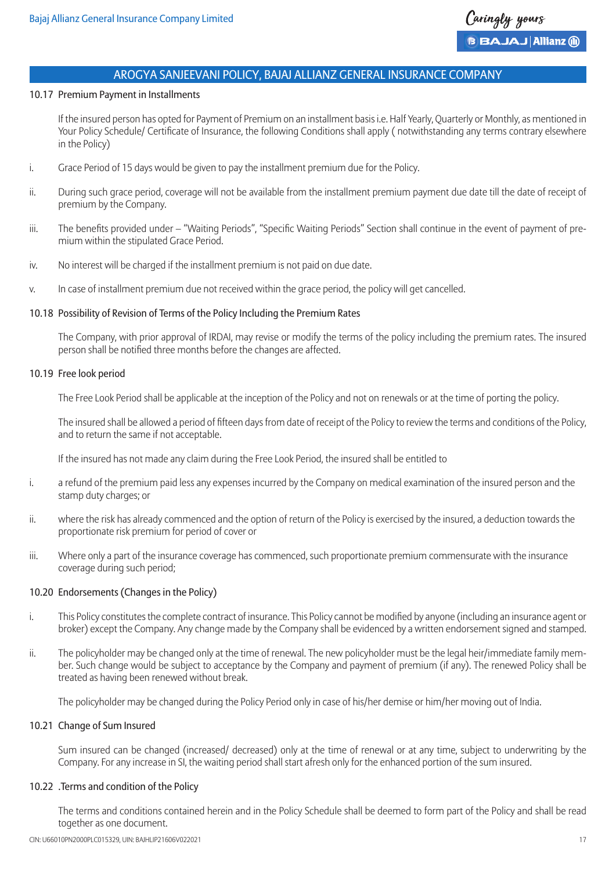#### 10.17 Premium Payment in Installments

If the insured person has opted for Payment of Premium on an installment basis i.e. Half Yearly, Quarterly or Monthly, as mentioned in Your Policy Schedule/ Certificate of Insurance, the following Conditions shall apply ( notwithstanding any terms contrary elsewhere in the Policy)

- i. Grace Period of 15 days would be given to pay the installment premium due for the Policy.
- ii. During such grace period, coverage will not be available from the installment premium payment due date till the date of receipt of premium by the Company.
- iii. The benefits provided under "Waiting Periods", "Specific Waiting Periods" Section shall continue in the event of payment of premium within the stipulated Grace Period.
- iv. No interest will be charged if the installment premium is not paid on due date.
- v. In case of installment premium due not received within the grace period, the policy will get cancelled.

## 10.18 Possibility of Revision of Terms of the Policy Including the Premium Rates

The Company, with prior approval of IRDAI, may revise or modify the terms of the policy including the premium rates. The insured person shall be notified three months before the changes are affected.

#### 10.19 Free look period

The Free Look Period shall be applicable at the inception of the Policy and not on renewals or at the time of porting the policy.

The insured shall be allowed a period of fifteen days from date of receipt of the Policy to review the terms and conditions of the Policy, and to return the same if not acceptable.

If the insured has not made any claim during the Free Look Period, the insured shall be entitled to

- i. a refund of the premium paid less any expenses incurred by the Company on medical examination of the insured person and the stamp duty charges; or
- ii. where the risk has already commenced and the option of return of the Policy is exercised by the insured, a deduction towards the proportionate risk premium for period of cover or
- iii. Where only a part of the insurance coverage has commenced, such proportionate premium commensurate with the insurance coverage during such period;

## 10.20 Endorsements (Changes in the Policy)

- i. This Policy constitutes the complete contract of insurance. This Policy cannot be modified by anyone (including an insurance agent or broker) except the Company. Any change made by the Company shall be evidenced by a written endorsement signed and stamped.
- ii. The policyholder may be changed only at the time of renewal. The new policyholder must be the legal heir/immediate family member. Such change would be subject to acceptance by the Company and payment of premium (if any). The renewed Policy shall be treated as having been renewed without break.

The policyholder may be changed during the Policy Period only in case of his/her demise or him/her moving out of India.

#### 10.21 Change of Sum Insured

Sum insured can be changed (increased/ decreased) only at the time of renewal or at any time, subject to underwriting by the Company. For any increase in SI, the waiting period shall start afresh only for the enhanced portion of the sum insured.

## 10.22 .Terms and condition of the Policy

The terms and conditions contained herein and in the Policy Schedule shall be deemed to form part of the Policy and shall be read together as one document.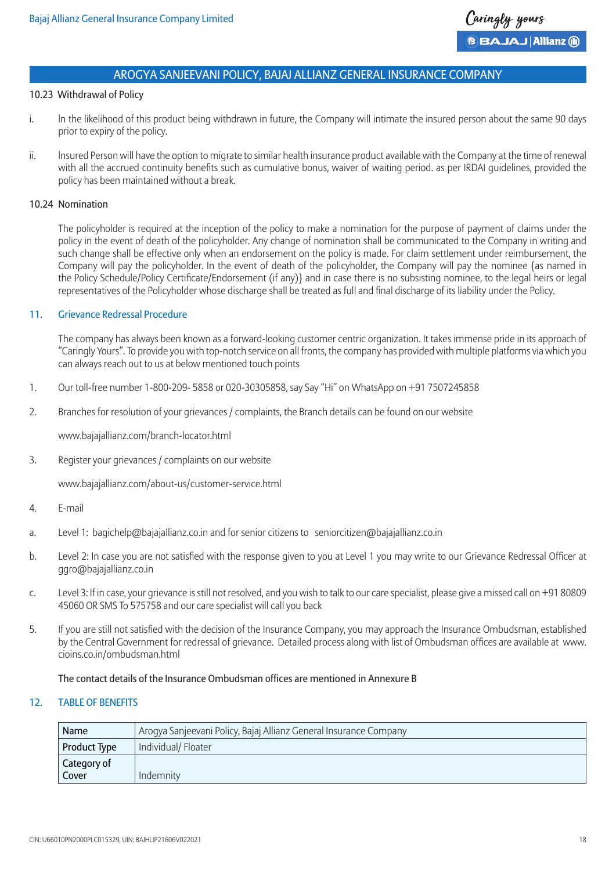#### 10.23 Withdrawal of Policy

- i. In the likelihood of this product being withdrawn in future, the Company will intimate the insured person about the same 90 days prior to expiry of the policy.
- ii. lnsured Person will have the option to migrate to similar health insurance product available with the Company at the time of renewal with all the accrued continuity benefits such as cumulative bonus, waiver of waiting period. as per IRDAI guidelines, provided the policy has been maintained without a break.

#### 10.24 Nomination

The policyholder is required at the inception of the policy to make a nomination for the purpose of payment of claims under the policy in the event of death of the policyholder. Any change of nomination shall be communicated to the Company in writing and such change shall be effective only when an endorsement on the policy is made. For claim settlement under reimbursement, the Company will pay the policyholder. In the event of death of the policyholder, the Company will pay the nominee {as named in the Policy Schedule/Policy Certificate/Endorsement (if any)} and in case there is no subsisting nominee, to the legal heirs or legal representatives of the Policyholder whose discharge shall be treated as full and final discharge of its liability under the Policy.

## 11. Grievance Redressal Procedure

The company has always been known as a forward-looking customer centric organization. It takes immense pride in its approach of "Caringly Yours". To provide you with top-notch service on all fronts, the company has provided with multiple platforms via which you can always reach out to us at below mentioned touch points

- 1. Our toll-free number 1-800-209- 5858 or 020-30305858, say Say "Hi" on WhatsApp on +91 7507245858
- 2. Branches for resolution of your grievances / complaints, the Branch details can be found on our website

www.bajajallianz.com/branch-locator.html

3. Register your grievances / complaints on our website

www.bajajallianz.com/about-us/customer-service.html

- 4. E-mail
- a. Level 1: bagichelp@bajajallianz.co.in and for senior citizens to seniorcitizen@bajajallianz.co.in
- b. Level 2: In case you are not satisfied with the response given to you at Level 1 you may write to our Grievance Redressal Officer at ggro@bajajallianz.co.in
- c. Level 3: If in case, your grievance is still not resolved, and you wish to talk to our care specialist, please give a missed call on +91 80809 45060 OR SMS To 575758 and our care specialist will call you back
- 5. If you are still not satisfied with the decision of the Insurance Company, you may approach the Insurance Ombudsman, established by the Central Government for redressal of grievance. Detailed process along with list of Ombudsman offices are available at www. cioins.co.in/ombudsman.html

## The contact details of the Insurance Ombudsman offices are mentioned in Annexure B

#### 12. TABLE OF BENEFITS

| Name         | Arogya Sanjeevani Policy, Bajaj Allianz General Insurance Company |
|--------------|-------------------------------------------------------------------|
| Product Type | Individual/ Floater                                               |
| Category of  |                                                                   |
| Cover        | Indemnity                                                         |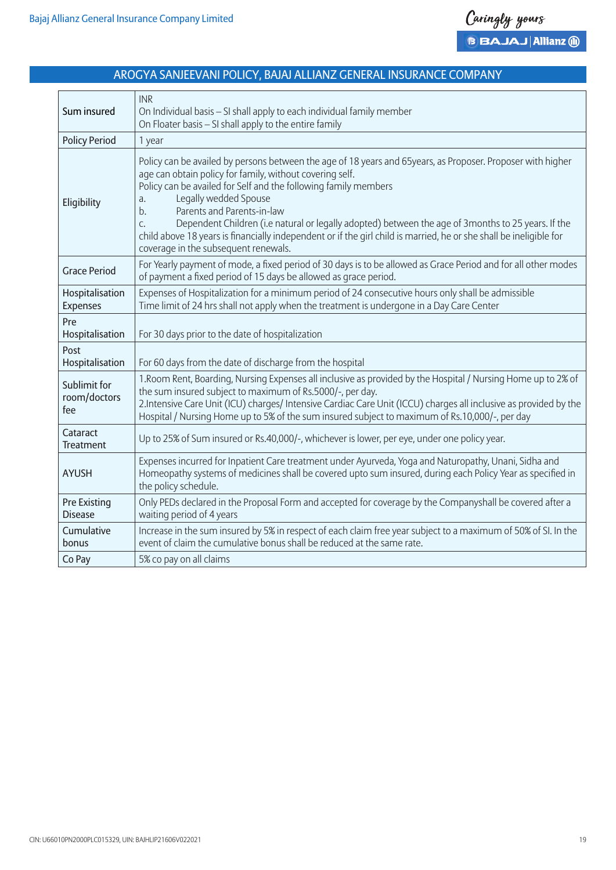

| Sum insured                           | <b>INR</b><br>On Individual basis - SI shall apply to each individual family member<br>On Floater basis - SI shall apply to the entire family                                                                                                                                                                                                                                                                                                                                                                                                                                           |
|---------------------------------------|-----------------------------------------------------------------------------------------------------------------------------------------------------------------------------------------------------------------------------------------------------------------------------------------------------------------------------------------------------------------------------------------------------------------------------------------------------------------------------------------------------------------------------------------------------------------------------------------|
| <b>Policy Period</b>                  | 1 year                                                                                                                                                                                                                                                                                                                                                                                                                                                                                                                                                                                  |
| Eligibility                           | Policy can be availed by persons between the age of 18 years and 65years, as Proposer. Proposer with higher<br>age can obtain policy for family, without covering self.<br>Policy can be availed for Self and the following family members<br>Legally wedded Spouse<br>a.<br>Parents and Parents-in-law<br>b.<br>Dependent Children (i.e natural or legally adopted) between the age of 3months to 25 years. If the<br>C.<br>child above 18 years is financially independent or if the girl child is married, he or she shall be ineligible for<br>coverage in the subsequent renewals. |
| <b>Grace Period</b>                   | For Yearly payment of mode, a fixed period of 30 days is to be allowed as Grace Period and for all other modes<br>of payment a fixed period of 15 days be allowed as grace period.                                                                                                                                                                                                                                                                                                                                                                                                      |
| Hospitalisation<br><b>Expenses</b>    | Expenses of Hospitalization for a minimum period of 24 consecutive hours only shall be admissible<br>Time limit of 24 hrs shall not apply when the treatment is undergone in a Day Care Center                                                                                                                                                                                                                                                                                                                                                                                          |
| Pre<br>Hospitalisation                | For 30 days prior to the date of hospitalization                                                                                                                                                                                                                                                                                                                                                                                                                                                                                                                                        |
| Post<br>Hospitalisation               | For 60 days from the date of discharge from the hospital                                                                                                                                                                                                                                                                                                                                                                                                                                                                                                                                |
| Sublimit for<br>room/doctors<br>fee   | 1. Room Rent, Boarding, Nursing Expenses all inclusive as provided by the Hospital / Nursing Home up to 2% of<br>the sum insured subject to maximum of Rs.5000/-, per day.<br>2. Intensive Care Unit (ICU) charges/ Intensive Cardiac Care Unit (ICCU) charges all inclusive as provided by the<br>Hospital / Nursing Home up to 5% of the sum insured subject to maximum of Rs.10,000/-, per day                                                                                                                                                                                       |
| Cataract<br><b>Treatment</b>          | Up to 25% of Sum insured or Rs.40,000/-, whichever is lower, per eye, under one policy year.                                                                                                                                                                                                                                                                                                                                                                                                                                                                                            |
| <b>AYUSH</b>                          | Expenses incurred for Inpatient Care treatment under Ayurveda, Yoga and Naturopathy, Unani, Sidha and<br>Homeopathy systems of medicines shall be covered upto sum insured, during each Policy Year as specified in<br>the policy schedule.                                                                                                                                                                                                                                                                                                                                             |
| <b>Pre Existing</b><br><b>Disease</b> | Only PEDs declared in the Proposal Form and accepted for coverage by the Companyshall be covered after a<br>waiting period of 4 years                                                                                                                                                                                                                                                                                                                                                                                                                                                   |
| Cumulative<br>bonus                   | Increase in the sum insured by 5% in respect of each claim free year subject to a maximum of 50% of SI. In the<br>event of claim the cumulative bonus shall be reduced at the same rate.                                                                                                                                                                                                                                                                                                                                                                                                |
| Co Pay                                | 5% co pay on all claims                                                                                                                                                                                                                                                                                                                                                                                                                                                                                                                                                                 |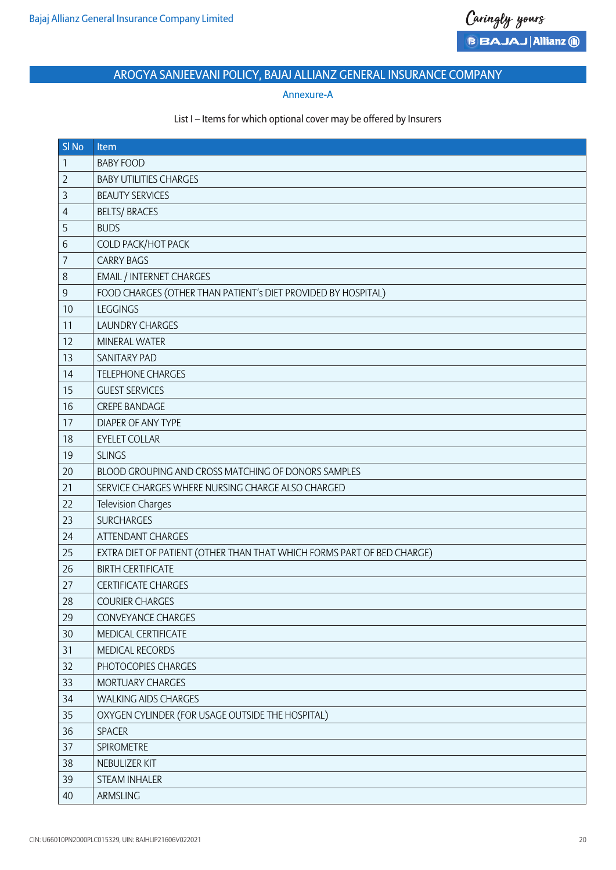## Annexure-A

## List I – Items for which optional cover may be offered by Insurers

| SI <sub>No</sub> | <b>Item</b>                                                            |
|------------------|------------------------------------------------------------------------|
| 1                | <b>BABY FOOD</b>                                                       |
| $\overline{2}$   | <b>BABY UTILITIES CHARGES</b>                                          |
| 3                | <b>BEAUTY SERVICES</b>                                                 |
| $\overline{4}$   | <b>BELTS/ BRACES</b>                                                   |
| 5                | <b>BUDS</b>                                                            |
| 6                | COLD PACK/HOT PACK                                                     |
| $\overline{7}$   | <b>CARRY BAGS</b>                                                      |
| 8                | <b>EMAIL / INTERNET CHARGES</b>                                        |
| $\mathsf g$      | FOOD CHARGES (OTHER THAN PATIENT's DIET PROVIDED BY HOSPITAL)          |
| 10               | <b>LEGGINGS</b>                                                        |
| 11               | <b>LAUNDRY CHARGES</b>                                                 |
| 12               | <b>MINERAL WATER</b>                                                   |
| 13               | <b>SANITARY PAD</b>                                                    |
| 14               | <b>TELEPHONE CHARGES</b>                                               |
| 15               | <b>GUEST SERVICES</b>                                                  |
| 16               | <b>CREPE BANDAGE</b>                                                   |
| 17               | <b>DIAPER OF ANY TYPE</b>                                              |
| 18               | <b>EYELET COLLAR</b>                                                   |
| 19               | <b>SLINGS</b>                                                          |
| 20               | BLOOD GROUPING AND CROSS MATCHING OF DONORS SAMPLES                    |
| 21               | SERVICE CHARGES WHERE NURSING CHARGE ALSO CHARGED                      |
| 22               | Television Charges                                                     |
| 23               | <b>SURCHARGES</b>                                                      |
| 24               | ATTENDANT CHARGES                                                      |
| 25               | EXTRA DIET OF PATIENT (OTHER THAN THAT WHICH FORMS PART OF BED CHARGE) |
| 26               | <b>BIRTH CERTIFICATE</b>                                               |
| 27               | <b>CERTIFICATE CHARGES</b>                                             |
| 28               | <b>COURIER CHARGES</b>                                                 |
| 29               | <b>CONVEYANCE CHARGES</b>                                              |
| 30               | MEDICAL CERTIFICATE                                                    |
| 31               | MEDICAL RECORDS                                                        |
| 32               | PHOTOCOPIES CHARGES                                                    |
| 33               | MORTUARY CHARGES                                                       |
| 34               | <b>WALKING AIDS CHARGES</b>                                            |
| 35               | OXYGEN CYLINDER (FOR USAGE OUTSIDE THE HOSPITAL)                       |
| 36               | <b>SPACER</b>                                                          |
| 37               | SPIROMETRE                                                             |
| 38               | NEBULIZER KIT                                                          |
| 39               | STEAM INHALER                                                          |
| 40               | ARMSLING                                                               |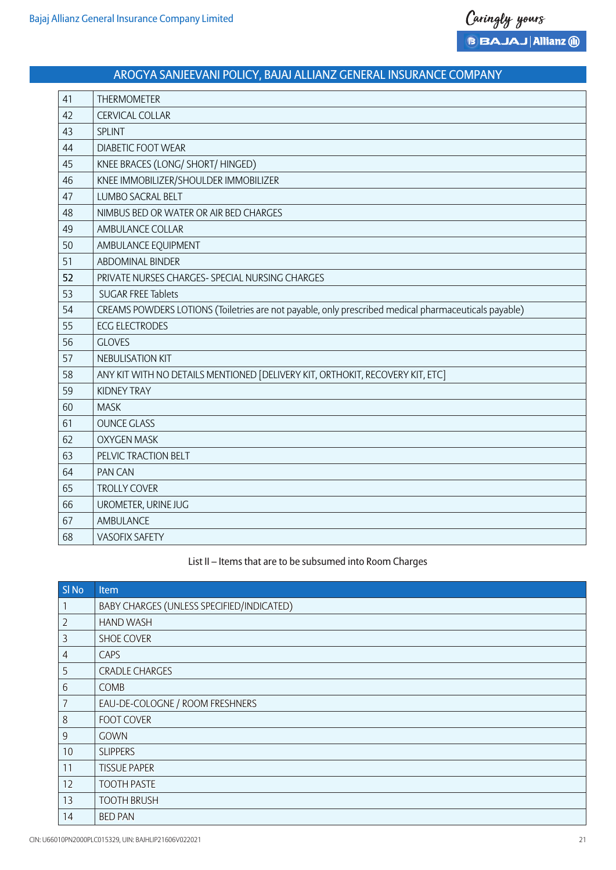| 41 | <b>THERMOMETER</b>                                                                                   |
|----|------------------------------------------------------------------------------------------------------|
| 42 | <b>CERVICAL COLLAR</b>                                                                               |
| 43 | <b>SPLINT</b>                                                                                        |
| 44 | <b>DIABETIC FOOT WEAR</b>                                                                            |
| 45 | KNEE BRACES (LONG/ SHORT/ HINGED)                                                                    |
| 46 | KNEE IMMOBILIZER/SHOULDER IMMOBILIZER                                                                |
| 47 | <b>LUMBO SACRAL BELT</b>                                                                             |
| 48 | NIMBUS BED OR WATER OR AIR BED CHARGES                                                               |
| 49 | AMBULANCE COLLAR                                                                                     |
| 50 | AMBULANCE EQUIPMENT                                                                                  |
| 51 | <b>ABDOMINAL BINDER</b>                                                                              |
| 52 | PRIVATE NURSES CHARGES- SPECIAL NURSING CHARGES                                                      |
| 53 | <b>SUGAR FREE Tablets</b>                                                                            |
| 54 | CREAMS POWDERS LOTIONS (Toiletries are not payable, only prescribed medical pharmaceuticals payable) |
| 55 | <b>ECG ELECTRODES</b>                                                                                |
| 56 | <b>GLOVES</b>                                                                                        |
| 57 | <b>NEBULISATION KIT</b>                                                                              |
| 58 | ANY KIT WITH NO DETAILS MENTIONED [DELIVERY KIT, ORTHOKIT, RECOVERY KIT, ETC]                        |
| 59 | <b>KIDNEY TRAY</b>                                                                                   |
| 60 | <b>MASK</b>                                                                                          |
| 61 | <b>OUNCE GLASS</b>                                                                                   |
| 62 | <b>OXYGEN MASK</b>                                                                                   |
| 63 | PELVIC TRACTION BELT                                                                                 |
| 64 | <b>PAN CAN</b>                                                                                       |
| 65 | <b>TROLLY COVER</b>                                                                                  |
| 66 | UROMETER, URINE JUG                                                                                  |
| 67 | AMBULANCE                                                                                            |
| 68 | <b>VASOFIX SAFETY</b>                                                                                |

## List II – Items that are to be subsumed into Room Charges

| SI <sub>No</sub> | Item                                      |
|------------------|-------------------------------------------|
| 1                | BABY CHARGES (UNLESS SPECIFIED/INDICATED) |
| $\overline{2}$   | <b>HAND WASH</b>                          |
| $\mathfrak{Z}$   | <b>SHOE COVER</b>                         |
| $\overline{4}$   | <b>CAPS</b>                               |
| 5                | <b>CRADLE CHARGES</b>                     |
| 6                | <b>COMB</b>                               |
| $\overline{7}$   | EAU-DE-COLOGNE / ROOM FRESHNERS           |
| 8                | <b>FOOT COVER</b>                         |
| $\overline{9}$   | <b>GOWN</b>                               |
| 10               | <b>SLIPPERS</b>                           |
| 11               | <b>TISSUE PAPER</b>                       |
| 12               | <b>TOOTH PASTE</b>                        |
| 13               | <b>TOOTH BRUSH</b>                        |
| 14               | <b>BED PAN</b>                            |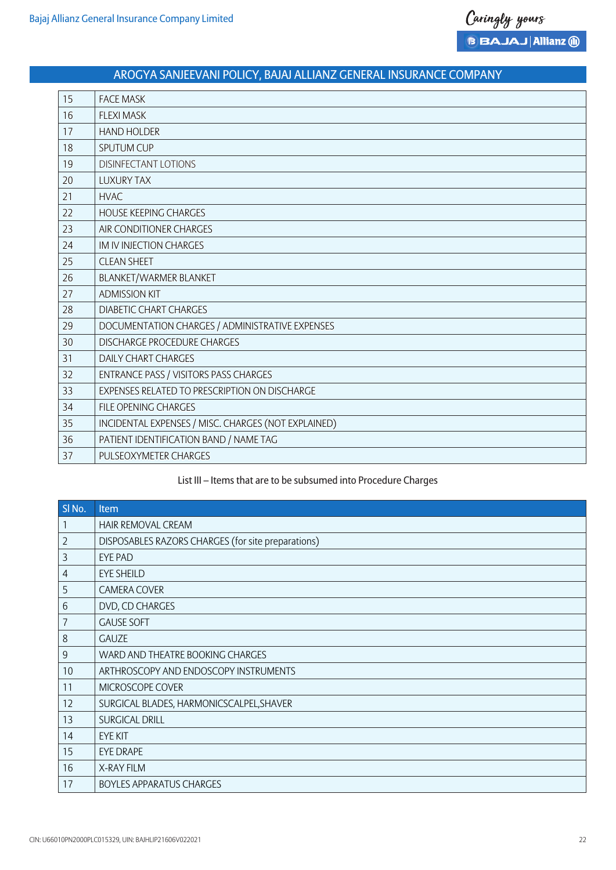| 15 | <b>FACE MASK</b>                                    |
|----|-----------------------------------------------------|
| 16 | <b>FLEXI MASK</b>                                   |
| 17 | <b>HAND HOLDER</b>                                  |
| 18 | <b>SPUTUM CUP</b>                                   |
| 19 | <b>DISINFECTANT LOTIONS</b>                         |
| 20 | <b>LUXURY TAX</b>                                   |
| 21 | <b>HVAC</b>                                         |
| 22 | <b>HOUSE KEEPING CHARGES</b>                        |
| 23 | AIR CONDITIONER CHARGES                             |
| 24 | IM IV INJECTION CHARGES                             |
| 25 | <b>CLEAN SHEET</b>                                  |
| 26 | BLANKET/WARMER BLANKET                              |
| 27 | <b>ADMISSION KIT</b>                                |
| 28 | <b>DIABETIC CHART CHARGES</b>                       |
| 29 | DOCUMENTATION CHARGES / ADMINISTRATIVE EXPENSES     |
| 30 | <b>DISCHARGE PROCEDURE CHARGES</b>                  |
| 31 | <b>DAILY CHART CHARGES</b>                          |
| 32 | ENTRANCE PASS / VISITORS PASS CHARGES               |
| 33 | EXPENSES RELATED TO PRESCRIPTION ON DISCHARGE       |
| 34 | <b>FILE OPENING CHARGES</b>                         |
| 35 | INCIDENTAL EXPENSES / MISC. CHARGES (NOT EXPLAINED) |
| 36 | PATIENT IDENTIFICATION BAND / NAME TAG              |
| 37 | PULSEOXYMETER CHARGES                               |

## List III – Items that are to be subsumed into Procedure Charges

| SI <sub>No.</sub> | Item                                               |
|-------------------|----------------------------------------------------|
| $\mathbf{1}$      | HAIR REMOVAL CREAM                                 |
| $\overline{2}$    | DISPOSABLES RAZORS CHARGES (for site preparations) |
| $\overline{3}$    | <b>EYE PAD</b>                                     |
| $\overline{4}$    | <b>EYE SHEILD</b>                                  |
| 5                 | <b>CAMERA COVER</b>                                |
| 6                 | DVD, CD CHARGES                                    |
| $\overline{7}$    | <b>GAUSE SOFT</b>                                  |
| 8                 | <b>GAUZE</b>                                       |
| $\overline{9}$    | WARD AND THEATRE BOOKING CHARGES                   |
| 10                | ARTHROSCOPY AND ENDOSCOPY INSTRUMENTS              |
| 11                | MICROSCOPE COVER                                   |
| 12                | SURGICAL BLADES, HARMONICSCALPEL, SHAVER           |
| 13                | <b>SURGICAL DRILL</b>                              |
| 14                | <b>EYE KIT</b>                                     |
| 15                | <b>EYE DRAPE</b>                                   |
| 16                | X-RAY FILM                                         |
| 17                | <b>BOYLES APPARATUS CHARGES</b>                    |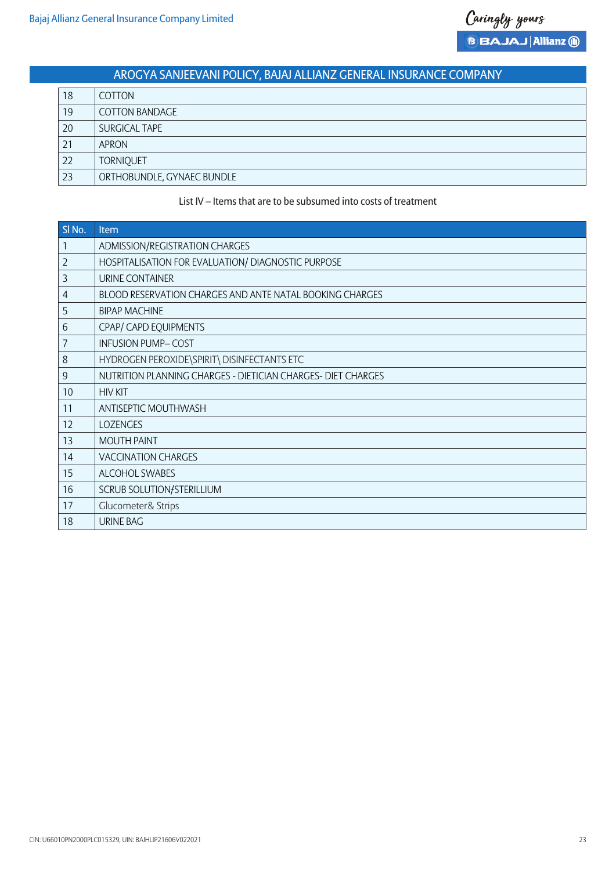| 18 | <b>COTTON</b>              |
|----|----------------------------|
| 19 | COTTON BANDAGE             |
| 20 | SURGICAL TAPE              |
| 21 | APRON                      |
| 22 | <b>TORNIQUET</b>           |
| 23 | ORTHOBUNDLE, GYNAEC BUNDLE |

## List IV – Items that are to be subsumed into costs of treatment

| SI <sub>No.</sub> | <b>Item</b>                                                  |
|-------------------|--------------------------------------------------------------|
| 1                 | ADMISSION/REGISTRATION CHARGES                               |
| $\overline{2}$    | HOSPITALISATION FOR EVALUATION/ DIAGNOSTIC PURPOSE           |
| 3                 | URINE CONTAINER                                              |
| 4                 | BLOOD RESERVATION CHARGES AND ANTE NATAL BOOKING CHARGES     |
| 5                 | <b>BIPAP MACHINE</b>                                         |
| 6                 | CPAP/ CAPD EQUIPMENTS                                        |
| 7                 | <b>INFUSION PUMP-COST</b>                                    |
| 8                 | HYDROGEN PEROXIDE\SPIRIT\ DISINFECTANTS ETC                  |
| $\mathsf 9$       | NUTRITION PLANNING CHARGES - DIETICIAN CHARGES- DIET CHARGES |
| 10                | <b>HIV KIT</b>                                               |
| 11                | ANTISEPTIC MOUTHWASH                                         |
| 12                | <b>LOZENGES</b>                                              |
| 13                | <b>MOUTH PAINT</b>                                           |
| 14                | <b>VACCINATION CHARGES</b>                                   |
| 15                | ALCOHOL SWABES                                               |
| 16                | SCRUB SOLUTION/STERILLIUM                                    |
| 17                | Glucometer& Strips                                           |
| 18                | <b>URINE BAG</b>                                             |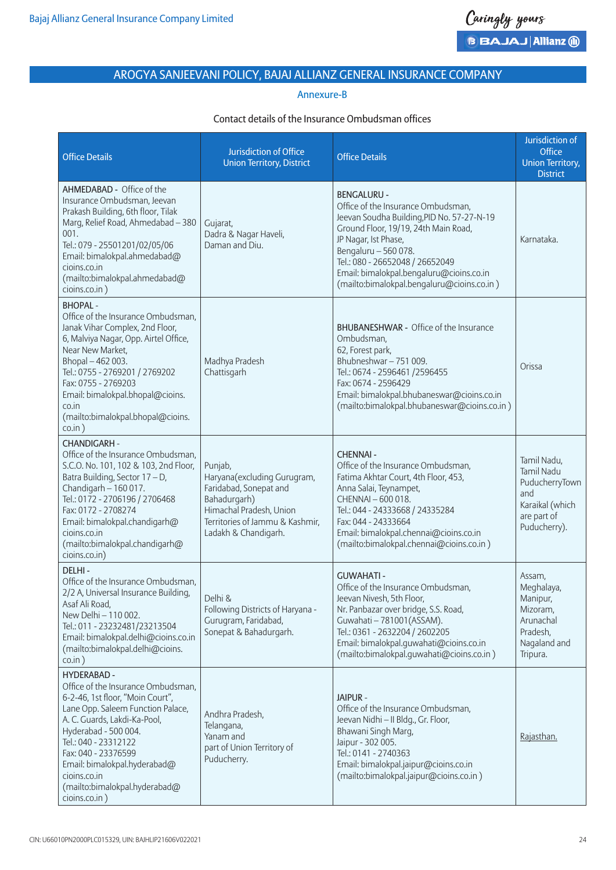## Annexure-B

## Contact details of the Insurance Ombudsman offices

| <b>Office Details</b>                                                                                                                                                                                                                                                                                                                      | Jurisdiction of Office<br><b>Union Territory, District</b>                                                                                                             | <b>Office Details</b>                                                                                                                                                                                                                                                                                                       | Jurisdiction of<br>Office<br><b>Union Territory,</b><br><b>District</b>                              |
|--------------------------------------------------------------------------------------------------------------------------------------------------------------------------------------------------------------------------------------------------------------------------------------------------------------------------------------------|------------------------------------------------------------------------------------------------------------------------------------------------------------------------|-----------------------------------------------------------------------------------------------------------------------------------------------------------------------------------------------------------------------------------------------------------------------------------------------------------------------------|------------------------------------------------------------------------------------------------------|
| AHMEDABAD - Office of the<br>Insurance Ombudsman, Jeevan<br>Prakash Building, 6th floor, Tilak<br>Marg, Relief Road, Ahmedabad - 380<br>001.<br>Tel.: 079 - 25501201/02/05/06<br>Email: bimalokpal.ahmedabad@<br>cioins.co.in<br>(mailto:bimalokpal.ahmedabad@<br>cioins.co.in)                                                            | Gujarat,<br>Dadra & Nagar Haveli,<br>Daman and Diu.                                                                                                                    | <b>BENGALURU -</b><br>Office of the Insurance Ombudsman,<br>Jeevan Soudha Building, PID No. 57-27-N-19<br>Ground Floor, 19/19, 24th Main Road,<br>JP Nagar, Ist Phase,<br>Bengaluru - 560 078.<br>Tel.: 080 - 26652048 / 26652049<br>Email: bimalokpal.bengaluru@cioins.co.in<br>(mailto:bimalokpal.bengaluru@cioins.co.in) | Karnataka.                                                                                           |
| <b>BHOPAL-</b><br>Office of the Insurance Ombudsman,<br>Janak Vihar Complex, 2nd Floor,<br>6, Malviya Nagar, Opp. Airtel Office,<br>Near New Market,<br>Bhopal-462003.<br>Tel.: 0755 - 2769201 / 2769202<br>Fax: 0755 - 2769203<br>Email: bimalokpal.bhopal@cioins.<br>co.in<br>(mailto:bimalokpal.bhopal@cioins.<br>$\cos$ .in $)$        | Madhya Pradesh<br>Chattisgarh                                                                                                                                          | <b>BHUBANESHWAR - Office of the Insurance</b><br>Ombudsman,<br>62, Forest park,<br>Bhubneshwar-751009.<br>Tel.: 0674 - 2596461 / 2596455<br>Fax: 0674 - 2596429<br>Email: bimalokpal.bhubaneswar@cioins.co.in<br>(mailto:bimalokpal.bhubaneswar@cioins.co.in)                                                               | Orissa                                                                                               |
| <b>CHANDIGARH -</b><br>Office of the Insurance Ombudsman,<br>S.C.O. No. 101, 102 & 103, 2nd Floor,<br>Batra Building, Sector 17 - D,<br>Chandigarh - 160 017.<br>Tel.: 0172 - 2706196 / 2706468<br>Fax: 0172 - 2708274<br>Email: bimalokpal.chandigarh@<br>cioins.co.in<br>(mailto:bimalokpal.chandigarh@<br>cioins.co.in)                 | Punjab,<br>Haryana(excluding Gurugram,<br>Faridabad, Sonepat and<br>Bahadurgarh)<br>Himachal Pradesh, Union<br>Territories of Jammu & Kashmir,<br>Ladakh & Chandigarh. | <b>CHENNAI -</b><br>Office of the Insurance Ombudsman,<br>Fatima Akhtar Court, 4th Floor, 453,<br>Anna Salai, Teynampet,<br>CHENNAI - 600 018.<br>Tel.: 044 - 24333668 / 24335284<br>Fax: 044 - 24333664<br>Email: bimalokpal.chennai@cioins.co.in<br>(mailto:bimalokpal.chennai@cioins.co.in)                              | Tamil Nadu,<br>Tamil Nadu<br>PuducherryTown<br>and<br>Karaikal (which<br>are part of<br>Puducherry). |
| DELHI-<br>Office of the Insurance Ombudsman,<br>2/2 A, Universal Insurance Building,<br>Asaf Ali Road,<br>New Delhi - 110 002.<br>Tel.: 011 - 23232481/23213504<br>Email: bimalokpal.delhi@cioins.co.in<br>(mailto:bimalokpal.delhi@cioins.<br>$\cos$ .in $)$                                                                              | Delhi &<br>Following Districts of Haryana -<br>Gurugram, Faridabad,<br>Sonepat & Bahadurgarh.                                                                          | <b>GUWAHATI-</b><br>Office of the Insurance Ombudsman,<br>Jeevan Nivesh, 5th Floor,<br>Nr. Panbazar over bridge, S.S. Road,<br>Guwahati - 781001 (ASSAM).<br>Tel.: 0361 - 2632204 / 2602205<br>Email: bimalokpal.guwahati@cioins.co.in<br>(mailto:bimalokpal.guwahati@cioins.co.in)                                         | Assam,<br>Meghalaya,<br>Manipur,<br>Mizoram,<br>Arunachal<br>Pradesh,<br>Nagaland and<br>Tripura.    |
| <b>HYDERABAD -</b><br>Office of the Insurance Ombudsman,<br>6-2-46, 1st floor, "Moin Court",<br>Lane Opp. Saleem Function Palace,<br>A. C. Guards, Lakdi-Ka-Pool,<br>Hyderabad - 500 004.<br>Tel.: 040 - 23312122<br>Fax: 040 - 23376599<br>Email: bimalokpal.hyderabad@<br>cioins.co.in<br>(mailto:bimalokpal.hyderabad@<br>cioins.co.in) | Andhra Pradesh,<br>Telangana,<br>Yanam and<br>part of Union Territory of<br>Puducherry.                                                                                | JAIPUR -<br>Office of the Insurance Ombudsman,<br>Jeevan Nidhi - II Bldg., Gr. Floor,<br>Bhawani Singh Marg,<br>Jaipur - 302 005.<br>Tel.: 0141 - 2740363<br>Email: bimalokpal.jaipur@cioins.co.in<br>(mailto:bimalokpal.jaipur@cioins.co.in)                                                                               | Rajasthan.                                                                                           |